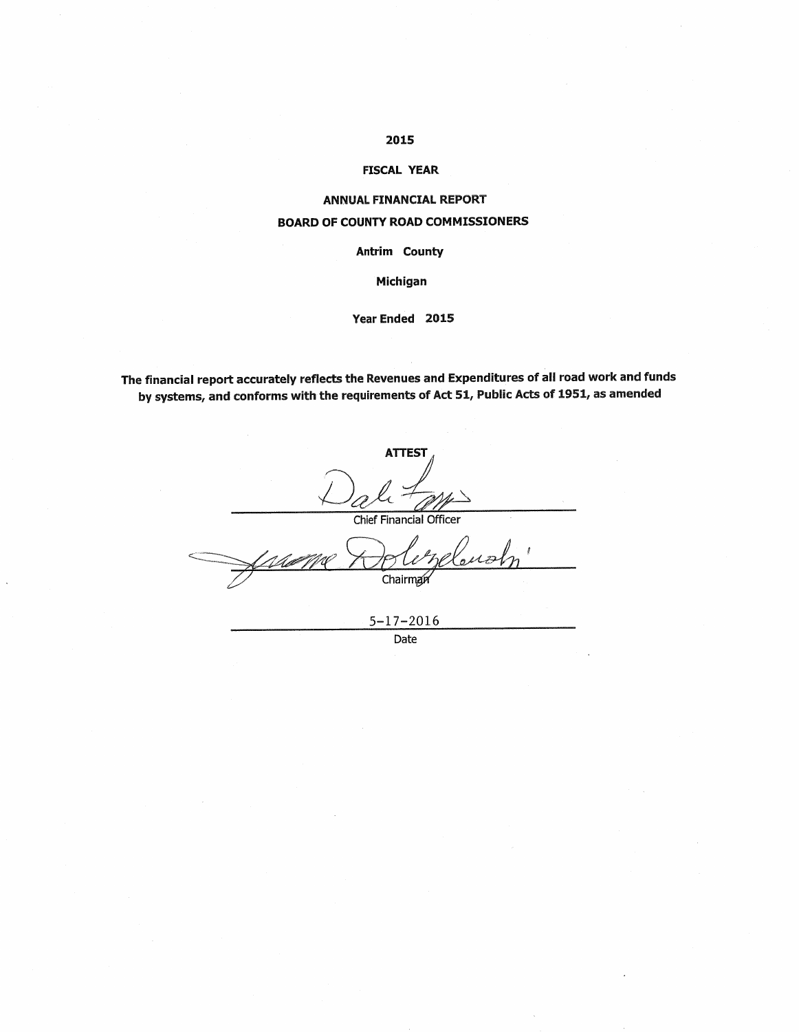## 2015

#### **FISCAL YEAR**

## **ANNUAL FINANCIAL REPORT BOARD OF COUNTY ROAD COMMISSIONERS**

Antrim County

Michigan

#### Year Ended 2015

The financial report accurately reflects the Revenues and Expenditures of all road work and funds by systems, and conforms with the requirements of Act 51, Public Acts of 1951, as amended

| <b>ATTEST</b>           |
|-------------------------|
|                         |
| Chief Financial Officer |
| <b>CROWDENS</b>         |
| Chairman                |
|                         |
| $5 - 17 - 2016$         |

Date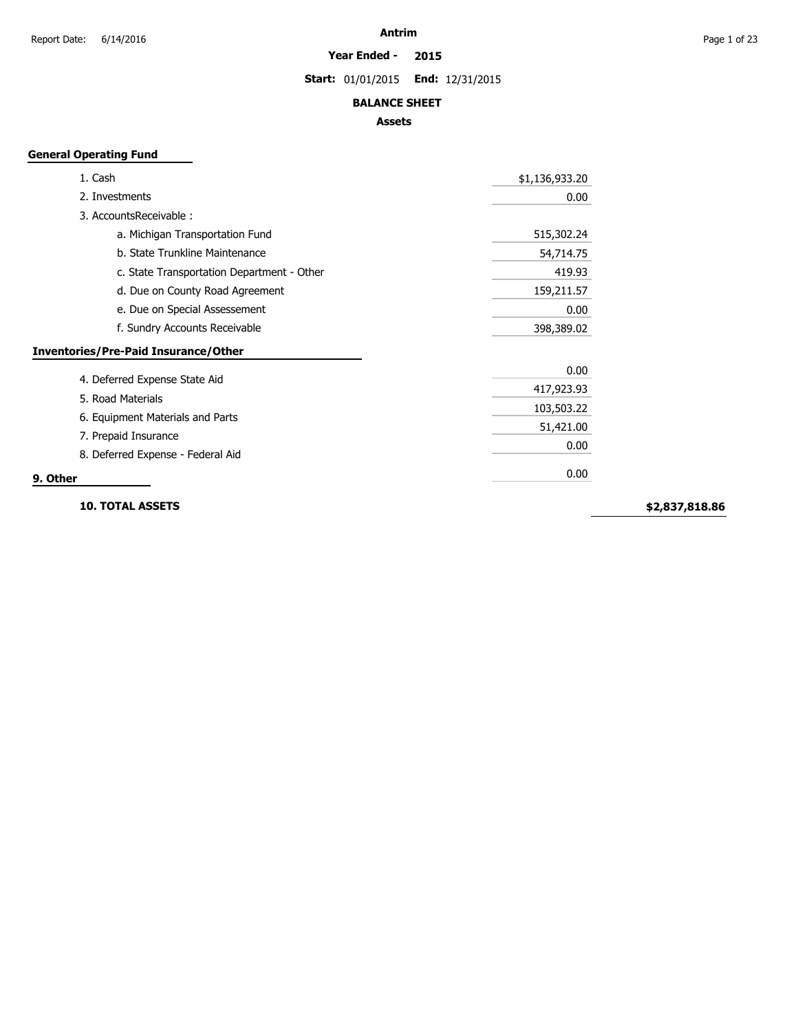**Year Ended - 2015**

**Start:** 01/01/2015 **End:** 12/31/2015

#### **BALANCE SHEET**

#### **Assets**

## **General Operating Fund**

| 1. Cash                                            | \$1,136,933.20 |
|----------------------------------------------------|----------------|
| 2. Investments                                     | 0.00           |
| 3. Accounts Receivable:                            |                |
| a. Michigan Transportation Fund                    | 515,302.24     |
| b. State Trunkline Maintenance                     | 54,714.75      |
| c. State Transportation Department - Other         | 419.93         |
| d. Due on County Road Agreement                    | 159,211.57     |
| e. Due on Special Assessement                      | 0.00           |
| f. Sundry Accounts Receivable                      | 398,389.02     |
| <b>Inventories/Pre-Paid Insurance/Other</b>        |                |
|                                                    | 0.00           |
| 4. Deferred Expense State Aid<br>5. Road Materials | 417,923.93     |
|                                                    | 103,503.22     |
| 6. Equipment Materials and Parts                   | 51,421.00      |
| 7. Prepaid Insurance                               | 0.00           |
| 8. Deferred Expense - Federal Aid                  |                |
| 9. Other                                           | 0.00           |

**10. TOTAL ASSETS**

**\$2,837,818.86**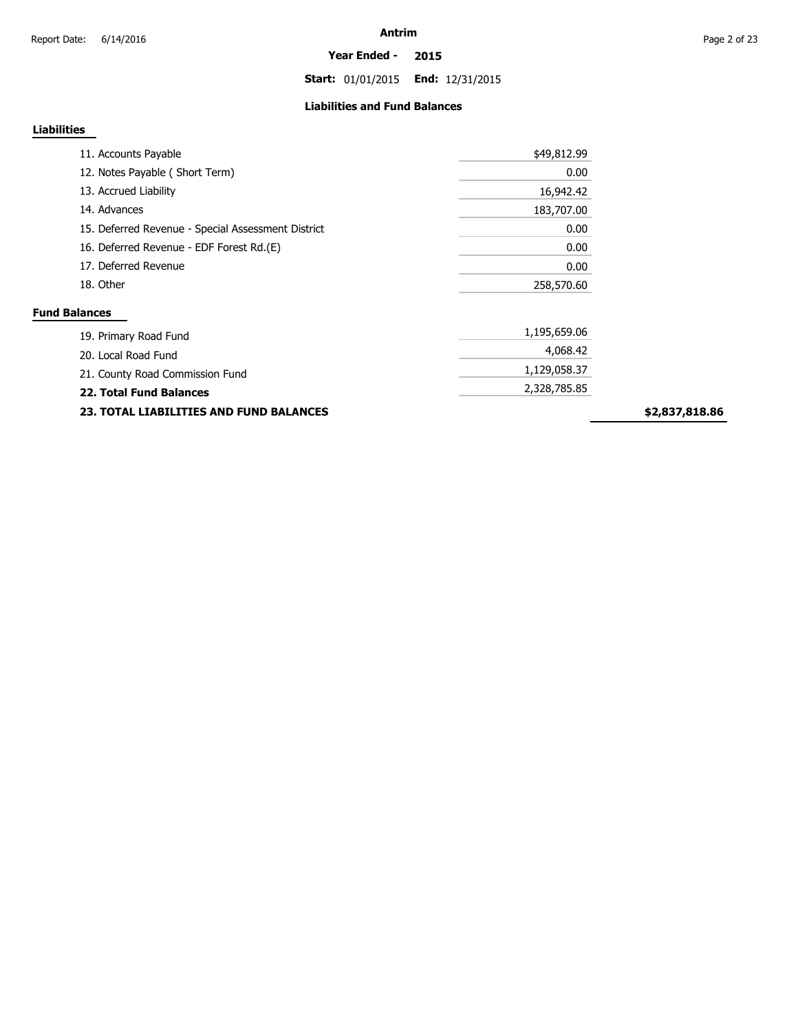**Start:** 01/01/2015 **End:** 12/31/2015

#### **Liabilities and Fund Balances**

## **Liabilities**

| 11. Accounts Payable                               | \$49,812.99  |
|----------------------------------------------------|--------------|
| 12. Notes Payable (Short Term)                     | 0.00         |
| 13. Accrued Liability                              | 16,942.42    |
| 14. Advances                                       | 183,707.00   |
| 15. Deferred Revenue - Special Assessment District | 0.00         |
| 16. Deferred Revenue - EDF Forest Rd.(E)           | 0.00         |
| 17. Deferred Revenue                               | 0.00         |
| 18. Other                                          | 258,570.60   |
| <b>Fund Balances</b>                               |              |
| 19. Primary Road Fund                              | 1,195,659.06 |
| 20. Local Road Fund                                | 4,068.42     |
| 21. County Road Commission Fund                    | 1,129,058.37 |
| <b>22. Total Fund Balances</b>                     | 2,328,785.85 |

**23. TOTAL LIABILITIES AND FUND BALANCES**

**\$2,837,818.86**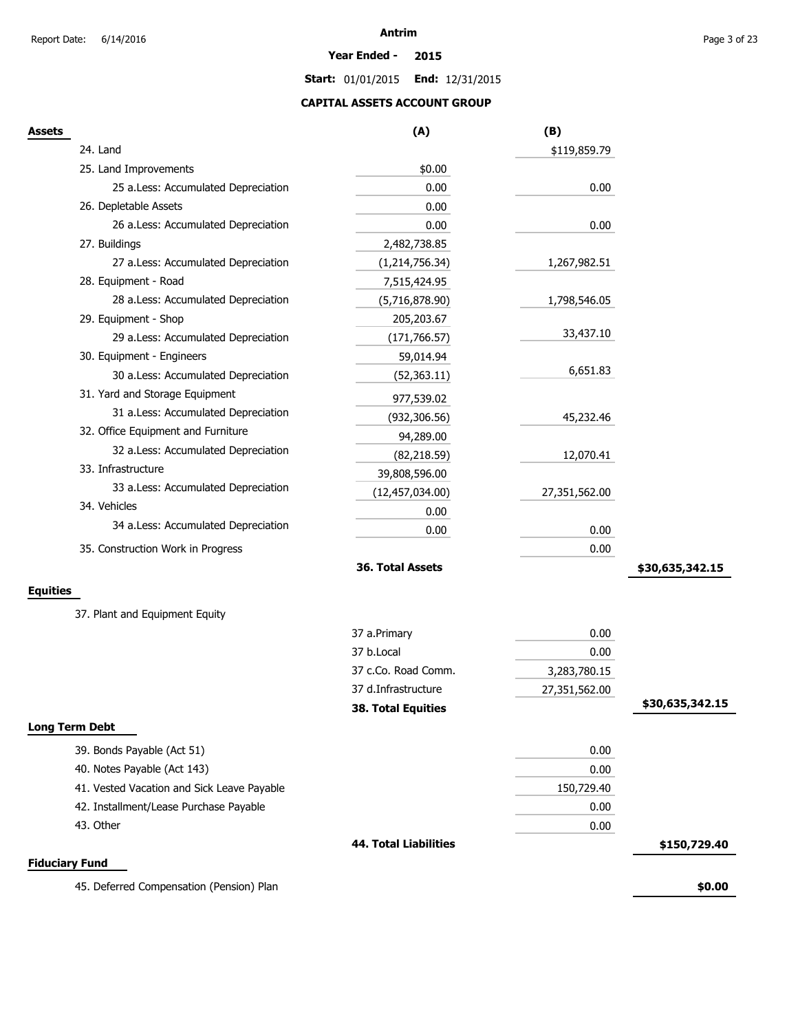#### **Year Ended - 2015**

**Start:** 01/01/2015 **End:** 12/31/2015

## **CAPITAL ASSETS ACCOUNT GROUP**

| Assets                                     | (A)                          | (B)           |                 |
|--------------------------------------------|------------------------------|---------------|-----------------|
| 24. Land                                   |                              | \$119,859.79  |                 |
| 25. Land Improvements                      | \$0.00                       |               |                 |
| 25 a.Less: Accumulated Depreciation        | 0.00                         | 0.00          |                 |
| 26. Depletable Assets                      | 0.00                         |               |                 |
| 26 a.Less: Accumulated Depreciation        | 0.00                         | 0.00          |                 |
| 27. Buildings                              | 2,482,738.85                 |               |                 |
| 27 a.Less: Accumulated Depreciation        | (1,214,756.34)               | 1,267,982.51  |                 |
| 28. Equipment - Road                       | 7,515,424.95                 |               |                 |
| 28 a.Less: Accumulated Depreciation        | (5,716,878.90)               | 1,798,546.05  |                 |
| 29. Equipment - Shop                       | 205,203.67                   |               |                 |
| 29 a.Less: Accumulated Depreciation        | (171, 766.57)                | 33,437.10     |                 |
| 30. Equipment - Engineers                  | 59,014.94                    |               |                 |
| 30 a.Less: Accumulated Depreciation        | (52, 363.11)                 | 6,651.83      |                 |
| 31. Yard and Storage Equipment             | 977,539.02                   |               |                 |
| 31 a.Less: Accumulated Depreciation        | (932, 306.56)                | 45,232.46     |                 |
| 32. Office Equipment and Furniture         | 94,289.00                    |               |                 |
| 32 a.Less: Accumulated Depreciation        | (82, 218.59)                 | 12,070.41     |                 |
| 33. Infrastructure                         | 39,808,596.00                |               |                 |
| 33 a.Less: Accumulated Depreciation        | (12, 457, 034.00)            | 27,351,562.00 |                 |
| 34. Vehicles                               | 0.00                         |               |                 |
| 34 a.Less: Accumulated Depreciation        | 0.00                         | 0.00          |                 |
| 35. Construction Work in Progress          |                              | 0.00          |                 |
|                                            | 36. Total Assets             |               | \$30,635,342.15 |
|                                            |                              |               |                 |
| Equities                                   |                              |               |                 |
| 37. Plant and Equipment Equity             |                              |               |                 |
|                                            | 37 a.Primary                 | 0.00          |                 |
|                                            | 37 b.Local                   | 0.00          |                 |
|                                            | 37 c.Co. Road Comm.          | 3,283,780.15  |                 |
|                                            | 37 d.Infrastructure          | 27,351,562.00 |                 |
|                                            | <b>38. Total Equities</b>    |               | \$30,635,342.15 |
| Long Term Debt                             |                              |               |                 |
| 39. Bonds Payable (Act 51)                 |                              | 0.00          |                 |
| 40. Notes Payable (Act 143)                |                              | 0.00          |                 |
| 41. Vested Vacation and Sick Leave Payable |                              | 150,729.40    |                 |
| 42. Installment/Lease Purchase Payable     |                              | 0.00          |                 |
| 43. Other                                  |                              | 0.00          |                 |
|                                            | <b>44. Total Liabilities</b> |               | \$150,729.40    |
| <b>Fiduciary Fund</b>                      |                              |               |                 |
| 45. Deferred Compensation (Pension) Plan   |                              |               | \$0.00          |
|                                            |                              |               |                 |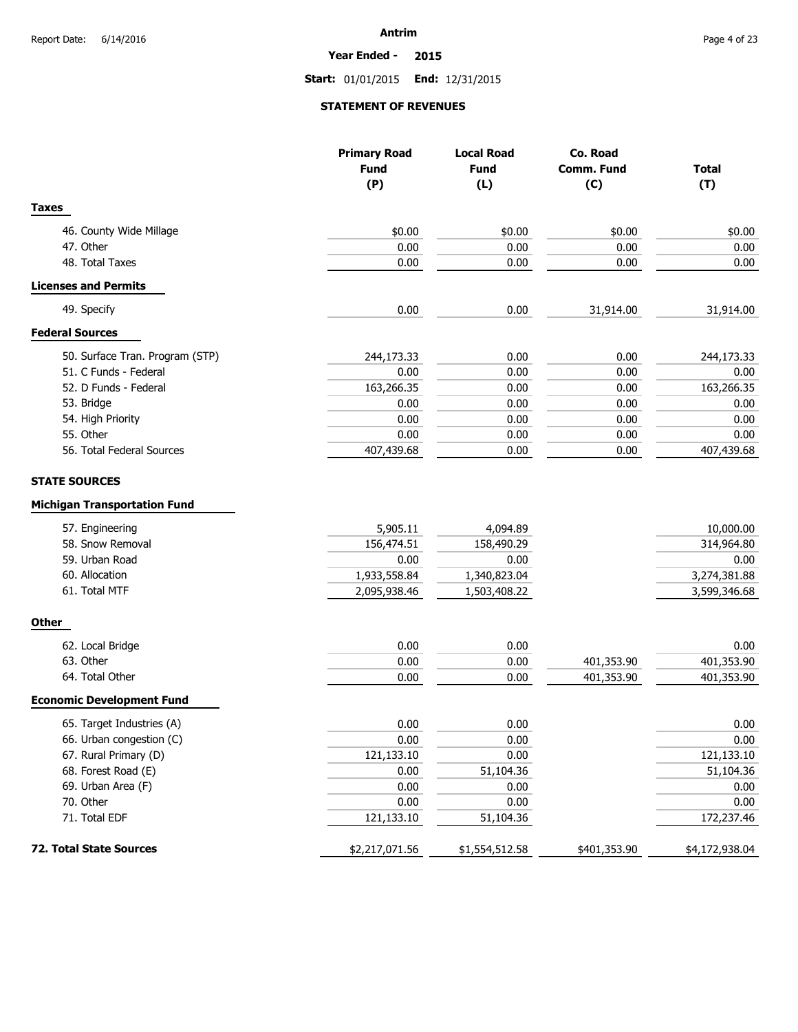**Year Ended - 2015**

**Start:** 01/01/2015 **End:** 12/31/2015

#### **STATEMENT OF REVENUES**

|                                                                                                                                 | <b>Primary Road</b><br><b>Fund</b><br>(P)                      | <b>Local Road</b><br><b>Fund</b><br>(L)                        | Co. Road<br>Comm. Fund<br>(C) | <b>Total</b><br>(T)                                             |
|---------------------------------------------------------------------------------------------------------------------------------|----------------------------------------------------------------|----------------------------------------------------------------|-------------------------------|-----------------------------------------------------------------|
| <b>Taxes</b>                                                                                                                    |                                                                |                                                                |                               |                                                                 |
| 46. County Wide Millage                                                                                                         | \$0.00                                                         | \$0.00                                                         | \$0.00                        | \$0.00                                                          |
| 47. Other                                                                                                                       | 0.00                                                           | 0.00                                                           | 0.00                          | 0.00                                                            |
| 48. Total Taxes                                                                                                                 | 0.00                                                           | 0.00                                                           | 0.00                          | 0.00                                                            |
| <b>Licenses and Permits</b>                                                                                                     |                                                                |                                                                |                               |                                                                 |
| 49. Specify                                                                                                                     | 0.00                                                           | 0.00                                                           | 31,914.00                     | 31,914.00                                                       |
| <b>Federal Sources</b>                                                                                                          |                                                                |                                                                |                               |                                                                 |
| 50. Surface Tran. Program (STP)                                                                                                 | 244,173.33                                                     | 0.00                                                           | 0.00                          | 244,173.33                                                      |
| 51. C Funds - Federal                                                                                                           | 0.00                                                           | 0.00                                                           | 0.00                          | 0.00                                                            |
| 52. D Funds - Federal                                                                                                           | 163,266.35                                                     | 0.00                                                           | 0.00                          | 163,266.35                                                      |
| 53. Bridge                                                                                                                      | 0.00                                                           | 0.00                                                           | 0.00                          | 0.00                                                            |
| 54. High Priority                                                                                                               | 0.00                                                           | 0.00                                                           | 0.00                          | 0.00                                                            |
| 55. Other                                                                                                                       | 0.00                                                           | 0.00                                                           | 0.00                          | 0.00                                                            |
| 56. Total Federal Sources                                                                                                       | 407,439.68                                                     | 0.00                                                           | 0.00                          | 407,439.68                                                      |
|                                                                                                                                 |                                                                |                                                                |                               |                                                                 |
| <b>Michigan Transportation Fund</b><br>57. Engineering<br>58. Snow Removal<br>59. Urban Road<br>60. Allocation<br>61. Total MTF | 5,905.11<br>156,474.51<br>0.00<br>1,933,558.84<br>2,095,938.46 | 4,094.89<br>158,490.29<br>0.00<br>1,340,823.04<br>1,503,408.22 |                               | 10,000.00<br>314,964.80<br>0.00<br>3,274,381.88<br>3,599,346.68 |
| <b>Other</b>                                                                                                                    |                                                                |                                                                |                               |                                                                 |
| 62. Local Bridge                                                                                                                | 0.00                                                           | 0.00                                                           |                               | 0.00                                                            |
| 63. Other                                                                                                                       | 0.00                                                           | 0.00                                                           | 401,353.90                    | 401,353.90                                                      |
| 64. Total Other                                                                                                                 | 0.00                                                           | 0.00                                                           | 401,353.90                    | 401,353.90                                                      |
| <b>Economic Development Fund</b>                                                                                                |                                                                |                                                                |                               |                                                                 |
| 65. Target Industries (A)                                                                                                       | 0.00                                                           | 0.00                                                           |                               | 0.00                                                            |
| 66. Urban congestion (C)                                                                                                        | 0.00                                                           | 0.00                                                           |                               | $0.00\,$                                                        |
| 67. Rural Primary (D)                                                                                                           | 121,133.10                                                     | 0.00                                                           |                               | 121,133.10                                                      |
| 68. Forest Road (E)                                                                                                             | 0.00                                                           | 51,104.36                                                      |                               | 51,104.36                                                       |
| 69. Urban Area (F)                                                                                                              | 0.00                                                           | 0.00                                                           |                               | 0.00                                                            |
| 70. Other                                                                                                                       | 0.00                                                           | 0.00                                                           |                               | 0.00                                                            |
| 71. Total EDF                                                                                                                   | 121,133.10                                                     | 51,104.36                                                      |                               | 172,237.46                                                      |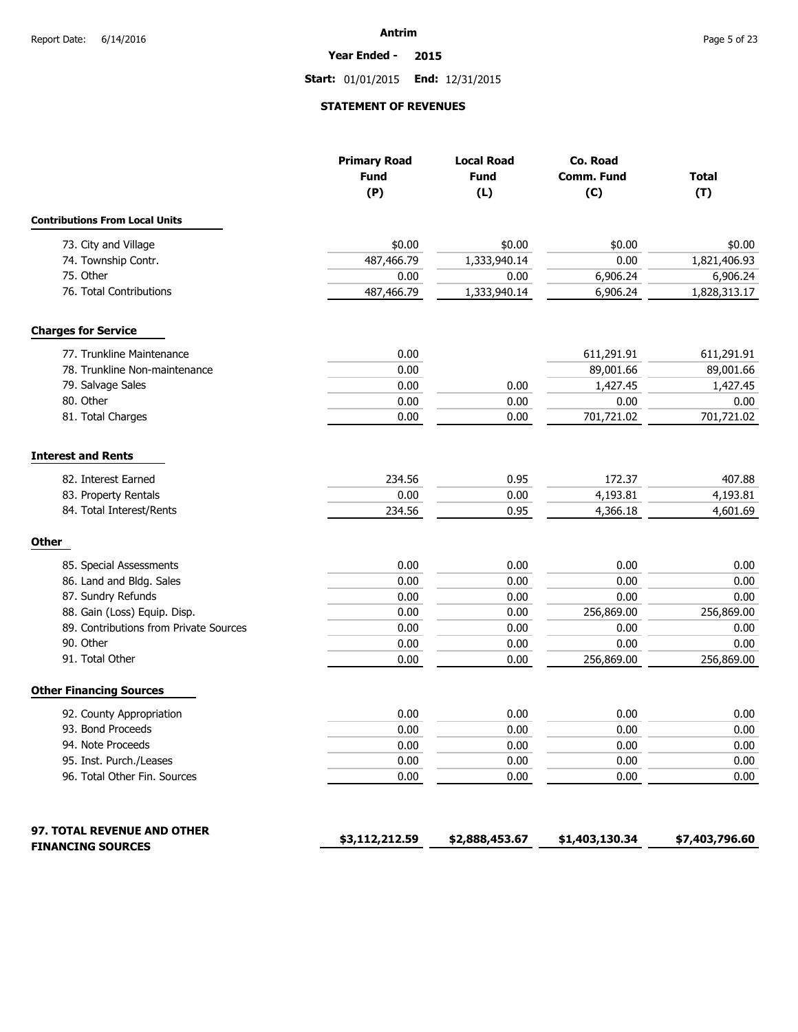**Year Ended - 2015**

**Start:** 01/01/2015 **End:** 12/31/2015

#### **STATEMENT OF REVENUES**

|                                        | <b>Primary Road</b><br><b>Fund</b><br>(P) | <b>Local Road</b><br><b>Fund</b><br>(L) | Co. Road<br>Comm. Fund<br>(C) | <b>Total</b><br>(T) |
|----------------------------------------|-------------------------------------------|-----------------------------------------|-------------------------------|---------------------|
| <b>Contributions From Local Units</b>  |                                           |                                         |                               |                     |
| 73. City and Village                   | \$0.00                                    | \$0.00                                  | \$0.00                        | \$0.00              |
| 74. Township Contr.                    | 487,466.79                                | 1,333,940.14                            | 0.00                          | 1,821,406.93        |
| 75. Other                              | 0.00                                      | 0.00                                    | 6,906.24                      | 6,906.24            |
| 76. Total Contributions                | 487,466.79                                | 1,333,940.14                            | 6,906.24                      | 1,828,313.17        |
| <b>Charges for Service</b>             |                                           |                                         |                               |                     |
| 77. Trunkline Maintenance              | 0.00                                      |                                         | 611,291.91                    | 611,291.91          |
| 78. Trunkline Non-maintenance          | 0.00                                      |                                         | 89,001.66                     | 89,001.66           |
| 79. Salvage Sales                      | 0.00                                      | 0.00                                    | 1,427.45                      | 1,427.45            |
| 80. Other                              | 0.00                                      | 0.00                                    | 0.00                          | 0.00                |
| 81. Total Charges                      | 0.00                                      | 0.00                                    | 701,721.02                    | 701,721.02          |
| <b>Interest and Rents</b>              |                                           |                                         |                               |                     |
| 82. Interest Earned                    | 234.56                                    | 0.95                                    | 172.37                        | 407.88              |
| 83. Property Rentals                   | 0.00                                      | 0.00                                    | 4,193.81                      | 4,193.81            |
| 84. Total Interest/Rents               | 234.56                                    | 0.95                                    | 4,366.18                      | 4,601.69            |
| <b>Other</b>                           |                                           |                                         |                               |                     |
| 85. Special Assessments                | 0.00                                      | 0.00                                    | 0.00                          | 0.00                |
| 86. Land and Bldg. Sales               | 0.00                                      | 0.00                                    | 0.00                          | 0.00                |
| 87. Sundry Refunds                     | 0.00                                      | 0.00                                    | 0.00                          | 0.00                |
| 88. Gain (Loss) Equip. Disp.           | 0.00                                      | 0.00                                    | 256,869.00                    | 256,869.00          |
| 89. Contributions from Private Sources | 0.00                                      | 0.00                                    | 0.00                          | 0.00                |
| 90. Other                              | 0.00                                      | 0.00                                    | 0.00                          | 0.00                |
| 91. Total Other                        | 0.00                                      | 0.00                                    | 256,869.00                    | 256,869.00          |
| <b>Other Financing Sources</b>         |                                           |                                         |                               |                     |
| 92. County Appropriation               | 0.00                                      | 0.00                                    | 0.00                          | 0.00                |
| 93. Bond Proceeds                      | 0.00                                      | 0.00                                    | 0.00                          | 0.00                |
| 94. Note Proceeds                      | 0.00                                      | 0.00                                    | 0.00                          | 0.00                |
| 95. Inst. Purch./Leases                | 0.00                                      | 0.00                                    | 0.00                          | 0.00                |
| 96. Total Other Fin. Sources           | 0.00                                      | 0.00                                    | 0.00                          | 0.00                |
| 97. TOTAL REVENUE AND OTHER            |                                           |                                         |                               |                     |
| <b>FINANCING SOURCES</b>               | \$3,112,212.59                            | \$2,888,453.67                          | \$1,403,130.34                | \$7,403,796.60      |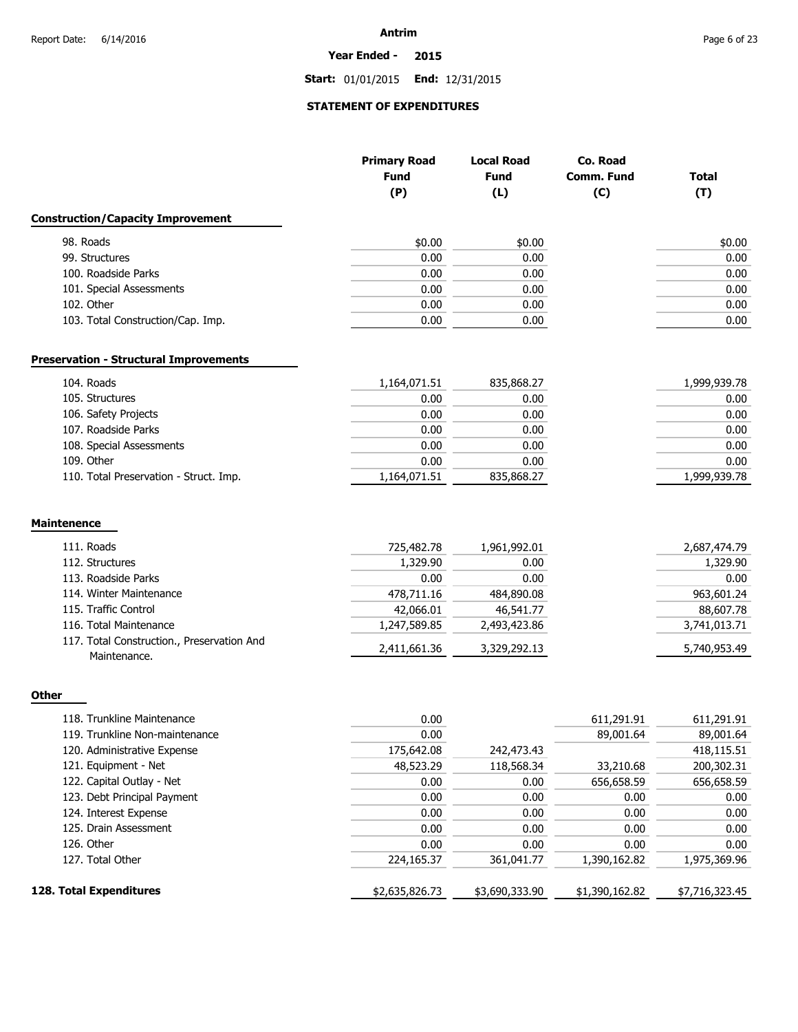#### **Year Ended - 2015**

**Start:** 01/01/2015 **End:** 12/31/2015

## **STATEMENT OF EXPENDITURES**

|                                                            | <b>Primary Road</b><br><b>Fund</b> | <b>Local Road</b><br><b>Fund</b> | Co. Road<br>Comm. Fund | <b>Total</b> |
|------------------------------------------------------------|------------------------------------|----------------------------------|------------------------|--------------|
|                                                            | (P)                                | (L)                              | (C)                    | (T)          |
| <b>Construction/Capacity Improvement</b>                   |                                    |                                  |                        |              |
| 98. Roads                                                  | \$0.00                             | \$0.00                           |                        | \$0.00       |
| 99. Structures                                             | 0.00                               | 0.00                             |                        | 0.00         |
| 100. Roadside Parks                                        | 0.00                               | 0.00                             |                        | 0.00         |
| 101. Special Assessments                                   | 0.00                               | 0.00                             |                        | 0.00         |
| 102. Other                                                 | 0.00                               | 0.00                             |                        | 0.00         |
| 103. Total Construction/Cap. Imp.                          | 0.00                               | 0.00                             |                        | 0.00         |
| <b>Preservation - Structural Improvements</b>              |                                    |                                  |                        |              |
| 104. Roads                                                 | 1,164,071.51                       | 835,868.27                       |                        | 1,999,939.78 |
| 105. Structures                                            | 0.00                               | 0.00                             |                        | 0.00         |
| 106. Safety Projects                                       | 0.00                               | 0.00                             |                        | 0.00         |
| 107. Roadside Parks                                        | 0.00                               | 0.00                             |                        | 0.00         |
| 108. Special Assessments                                   | 0.00                               | 0.00                             |                        | 0.00         |
| 109. Other                                                 | 0.00                               | 0.00                             |                        | 0.00         |
| 110. Total Preservation - Struct. Imp.                     | 1,164,071.51                       | 835,868.27                       |                        | 1,999,939.78 |
| <b>Maintenence</b>                                         |                                    |                                  |                        |              |
| 111. Roads                                                 | 725,482.78                         | 1,961,992.01                     |                        | 2,687,474.79 |
| 112. Structures                                            | 1,329.90                           | 0.00                             |                        | 1,329.90     |
| 113. Roadside Parks                                        | 0.00                               | 0.00                             |                        | 0.00         |
| 114. Winter Maintenance                                    | 478,711.16                         | 484,890.08                       |                        | 963,601.24   |
| 115. Traffic Control                                       | 42,066.01                          | 46,541.77                        |                        | 88,607.78    |
| 116. Total Maintenance                                     | 1,247,589.85                       | 2,493,423.86                     |                        | 3,741,013.71 |
| 117. Total Construction., Preservation And<br>Maintenance. | 2,411,661.36                       | 3,329,292.13                     |                        | 5,740,953.49 |

## **Other**

| 118. Trunkline Maintenance     | 0.00           |                | 611,291.91     | 611,291.91     |
|--------------------------------|----------------|----------------|----------------|----------------|
| 119. Trunkline Non-maintenance | 0.00           |                | 89,001.64      | 89,001.64      |
| 120. Administrative Expense    | 175,642.08     | 242,473.43     |                | 418,115.51     |
| 121. Equipment - Net           | 48,523.29      | 118,568.34     | 33,210.68      | 200,302.31     |
| 122. Capital Outlay - Net      | 0.00           | 0.00           | 656,658.59     | 656,658.59     |
| 123. Debt Principal Payment    | 0.00           | 0.00           | 0.00           | 0.00           |
| 124. Interest Expense          | 0.00           | 0.00           | 0.00           | 0.00           |
| 125. Drain Assessment          | 0.00           | 0.00           | 0.00           | 0.00           |
| 126. Other                     | 0.00           | 0.00           | 0.00           | 0.00           |
| 127. Total Other               | 224,165.37     | 361,041.77     | 1,390,162.82   | 1,975,369.96   |
| 128. Total Expenditures        | \$2,635,826.73 | \$3,690,333.90 | \$1,390,162.82 | \$7,716,323.45 |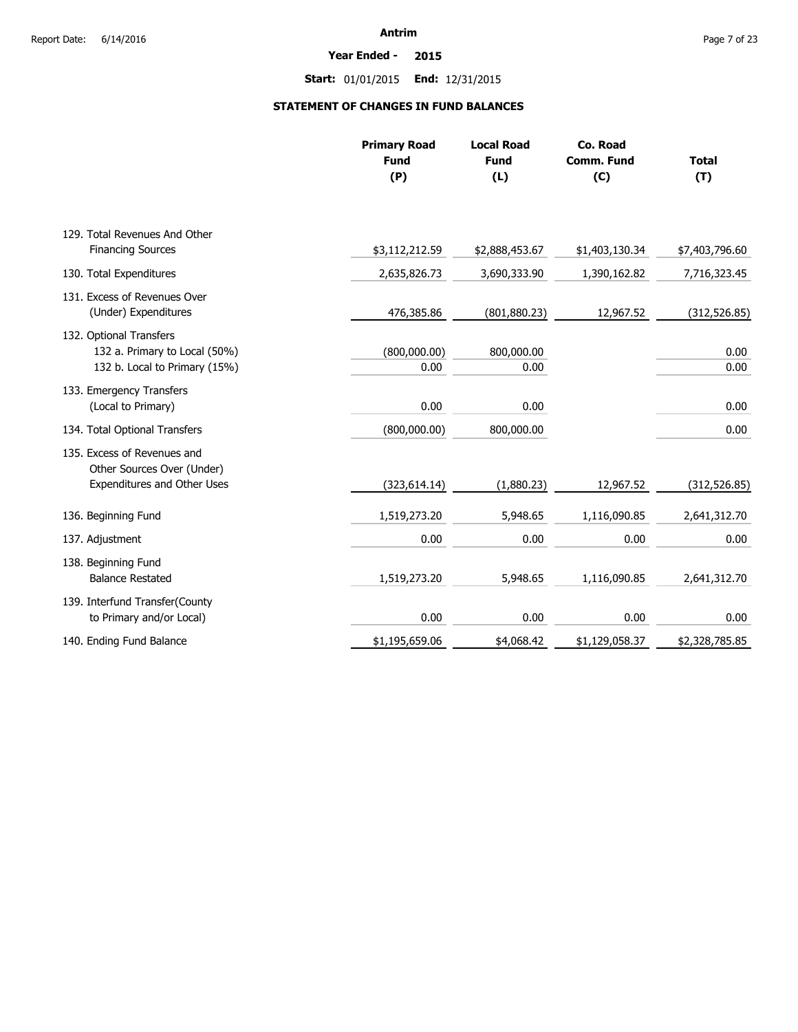**Year Ended - 2015**

**Start:** 01/01/2015 **End:** 12/31/2015

## **STATEMENT OF CHANGES IN FUND BALANCES**

|                                                                                           | <b>Primary Road</b><br><b>Fund</b><br>(P) | <b>Local Road</b><br><b>Fund</b><br>(L) | Co. Road<br><b>Comm. Fund</b><br>(C) | <b>Total</b><br>(T) |
|-------------------------------------------------------------------------------------------|-------------------------------------------|-----------------------------------------|--------------------------------------|---------------------|
| 129. Total Revenues And Other                                                             |                                           |                                         |                                      |                     |
| <b>Financing Sources</b>                                                                  | \$3,112,212.59                            | \$2,888,453.67                          | \$1,403,130.34                       | \$7,403,796.60      |
| 130. Total Expenditures                                                                   | 2,635,826.73                              | 3,690,333.90                            | 1,390,162.82                         | 7,716,323.45        |
| 131. Excess of Revenues Over<br>(Under) Expenditures                                      | 476,385.86                                | (801, 880.23)                           | 12,967.52                            | (312, 526.85)       |
| 132. Optional Transfers<br>132 a. Primary to Local (50%)<br>132 b. Local to Primary (15%) | (800,000.00)<br>0.00                      | 800,000.00<br>0.00                      |                                      | 0.00<br>0.00        |
| 133. Emergency Transfers<br>(Local to Primary)                                            | 0.00                                      | 0.00                                    |                                      | 0.00                |
| 134. Total Optional Transfers                                                             | (800,000.00)                              | 800,000.00                              |                                      | 0.00                |
| 135. Excess of Revenues and<br>Other Sources Over (Under)<br>Expenditures and Other Uses  | (323, 614.14)                             | (1,880.23)                              | 12,967.52                            | (312, 526.85)       |
| 136. Beginning Fund                                                                       | 1,519,273.20                              | 5,948.65                                | 1,116,090.85                         | 2,641,312.70        |
| 137. Adjustment                                                                           | 0.00                                      | 0.00                                    | 0.00                                 | 0.00                |
| 138. Beginning Fund<br><b>Balance Restated</b>                                            | 1,519,273.20                              | 5,948.65                                | 1,116,090.85                         | 2,641,312.70        |
| 139. Interfund Transfer(County<br>to Primary and/or Local)                                | 0.00                                      | 0.00                                    | 0.00                                 | 0.00                |
| 140. Ending Fund Balance                                                                  | \$1,195,659.06                            | \$4,068.42                              | \$1,129,058.37                       | \$2,328,785.85      |
|                                                                                           |                                           |                                         |                                      |                     |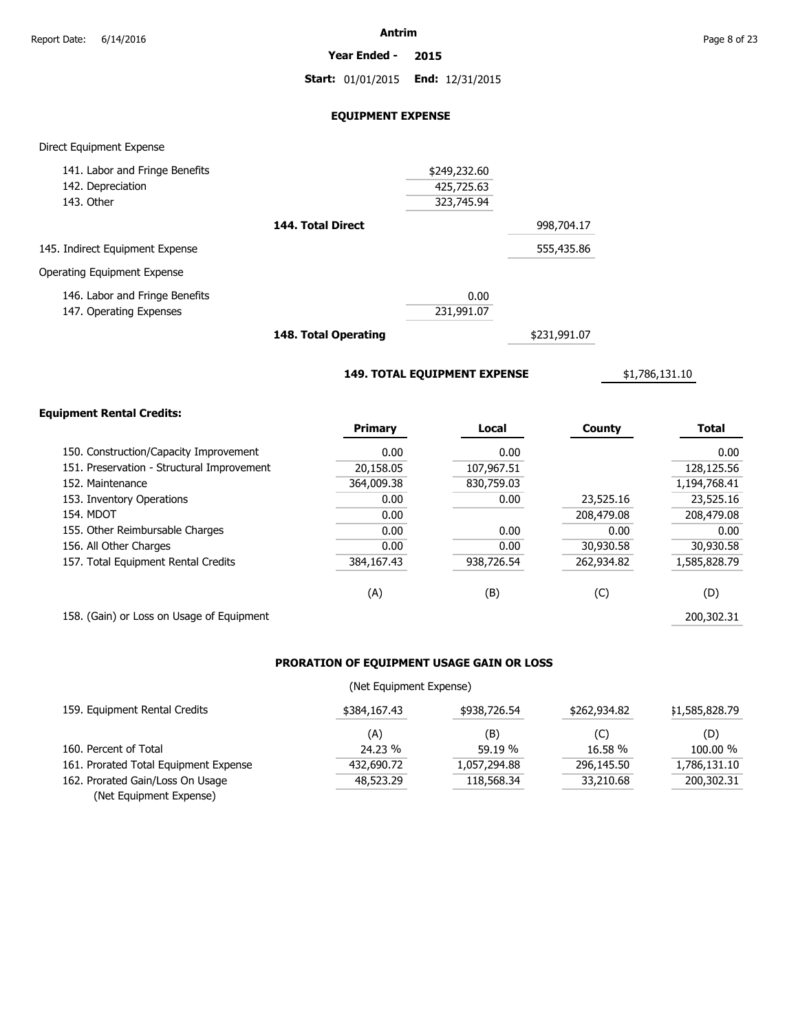**Year Ended - 2015**

**Start:** 01/01/2015 **End:** 12/31/2015

#### **EQUIPMENT EXPENSE**

#### Direct Equipment Expense

| 141. Labor and Fringe Benefits  |                   | \$249,232.60 |            |
|---------------------------------|-------------------|--------------|------------|
| 142. Depreciation               |                   | 425,725.63   |            |
| 143. Other                      |                   | 323,745.94   |            |
|                                 | 144. Total Direct |              | 998,704.17 |
| 145. Indirect Equipment Expense |                   |              | 555,435.86 |
| Operating Equipment Expense     |                   |              |            |
| 146. Labor and Fringe Benefits  |                   | 0.00         |            |
| 147. Operating Expenses         |                   | 231,991.07   |            |
|                                 |                   |              |            |

**148. Total Operating**

\$231,991.07

**149. TOTAL EQUIPMENT EXPENSE**

\$1,786,131.10

#### **Equipment Rental Credits:**

|                                            | <b>Primary</b> | Local      | County     | <b>Total</b> |
|--------------------------------------------|----------------|------------|------------|--------------|
| 150. Construction/Capacity Improvement     | 0.00           | 0.00       |            | 0.00         |
| 151. Preservation - Structural Improvement | 20,158.05      | 107,967.51 |            | 128,125.56   |
| 152. Maintenance                           | 364,009.38     | 830.759.03 |            | 1,194,768.41 |
| 153. Inventory Operations                  | 0.00           | 0.00       | 23,525.16  | 23,525.16    |
| 154. MDOT                                  | 0.00           |            | 208,479.08 | 208,479.08   |
| 155. Other Reimbursable Charges            | 0.00           | 0.00       | 0.00       | 0.00         |
| 156. All Other Charges                     | 0.00           | 0.00       | 30,930.58  | 30,930.58    |
| 157. Total Equipment Rental Credits        | 384,167.43     | 938,726.54 | 262,934.82 | 1,585,828.79 |
|                                            | (A)            | (B)        | (C)        | (D)          |
| 158. (Gain) or Loss on Usage of Equipment  |                |            |            | 200,302,31   |

## **PRORATION OF EQUIPMENT USAGE GAIN OR LOSS**

#### (Net Equipment Expense)

| 159. Equipment Rental Credits         | \$384,167.43 | \$938,726.54 | \$262,934.82 | \$1,585,828.79 |
|---------------------------------------|--------------|--------------|--------------|----------------|
|                                       | (A)          | (B)          | (C)          | (D)            |
| 160. Percent of Total                 | 24.23 %      | 59.19 %      | 16.58 %      | 100.00 %       |
| 161. Prorated Total Equipment Expense | 432,690.72   | 1.057.294.88 | 296,145.50   | 1,786,131.10   |
| 162. Prorated Gain/Loss On Usage      | 48,523,29    | 118,568,34   | 33,210.68    | 200,302.31     |
| (Net Equipment Expense)               |              |              |              |                |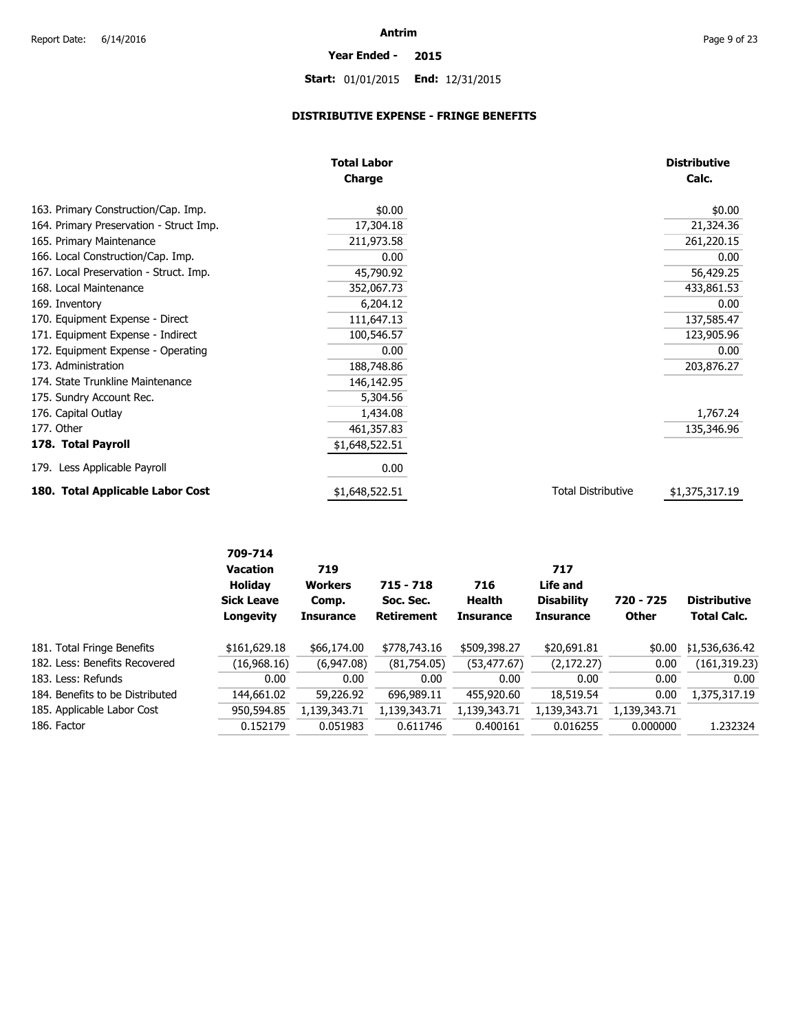# **Start:** 01/01/2015 **End:** 12/31/2015

**Year Ended - 2015**

## **DISTRIBUTIVE EXPENSE - FRINGE BENEFITS**

|                                         | <b>Total Labor</b> |                           | <b>Distributive</b> |
|-----------------------------------------|--------------------|---------------------------|---------------------|
|                                         | Charge             |                           | Calc.               |
| 163. Primary Construction/Cap. Imp.     | \$0.00             |                           | \$0.00              |
| 164. Primary Preservation - Struct Imp. | 17,304.18          |                           | 21,324.36           |
| 165. Primary Maintenance                | 211,973.58         |                           | 261,220.15          |
| 166. Local Construction/Cap. Imp.       | 0.00               |                           | 0.00                |
| 167. Local Preservation - Struct. Imp.  | 45,790.92          |                           | 56,429.25           |
| 168. Local Maintenance                  | 352,067.73         |                           | 433,861.53          |
| 169. Inventory                          | 6,204.12           |                           | 0.00                |
| 170. Equipment Expense - Direct         | 111,647.13         |                           | 137,585.47          |
| 171. Equipment Expense - Indirect       | 100,546.57         |                           | 123,905.96          |
| 172. Equipment Expense - Operating      | 0.00               |                           | 0.00                |
| 173. Administration                     | 188,748.86         |                           | 203,876.27          |
| 174. State Trunkline Maintenance        | 146,142.95         |                           |                     |
| 175. Sundry Account Rec.                | 5,304.56           |                           |                     |
| 176. Capital Outlay                     | 1,434.08           |                           | 1,767.24            |
| 177. Other                              | 461,357.83         |                           | 135,346.96          |
| 178. Total Payroll                      | \$1,648,522.51     |                           |                     |
| 179. Less Applicable Payroll            | 0.00               |                           |                     |
| 180. Total Applicable Labor Cost        | \$1,648,522.51     | <b>Total Distributive</b> | \$1,375,317.19      |

|                                 | 709-714<br><b>Vacation</b><br><b>Holiday</b><br><b>Sick Leave</b><br>Longevity | 719<br><b>Workers</b><br>Comp.<br><b>Insurance</b> | $715 - 718$<br>Soc. Sec.<br><b>Retirement</b> | 716<br>Health<br><b>Insurance</b> | 717<br>Life and<br><b>Disability</b><br><b>Insurance</b> | 720 - 725<br><b>Other</b> | <b>Distributive</b><br><b>Total Calc.</b> |
|---------------------------------|--------------------------------------------------------------------------------|----------------------------------------------------|-----------------------------------------------|-----------------------------------|----------------------------------------------------------|---------------------------|-------------------------------------------|
| 181. Total Fringe Benefits      | \$161,629.18                                                                   | \$66,174.00                                        | \$778,743.16                                  | \$509,398.27                      | \$20,691.81                                              | \$0.00                    | \$1,536,636.42                            |
| 182. Less: Benefits Recovered   | (16,968.16)                                                                    | (6,947.08)                                         | (81,754.05)                                   | (53, 477.67)                      | (2, 172.27)                                              | 0.00                      | (161, 319.23)                             |
| 183. Less: Refunds              | 0.00                                                                           | 0.00                                               | 0.00                                          | 0.00                              | 0.00                                                     | 0.00                      | 0.00                                      |
| 184. Benefits to be Distributed | 144,661.02                                                                     | 59,226.92                                          | 696,989.11                                    | 455,920.60                        | 18,519.54                                                | 0.00                      | 1,375,317.19                              |
| 185. Applicable Labor Cost      | 950,594.85                                                                     | 1,139,343.71                                       | 1,139,343.71                                  | 1,139,343.71                      | 1,139,343.71                                             | 1,139,343.71              |                                           |
| 186. Factor                     | 0.152179                                                                       | 0.051983                                           | 0.611746                                      | 0.400161                          | 0.016255                                                 | 0.000000                  | 1.232324                                  |
|                                 |                                                                                |                                                    |                                               |                                   |                                                          |                           |                                           |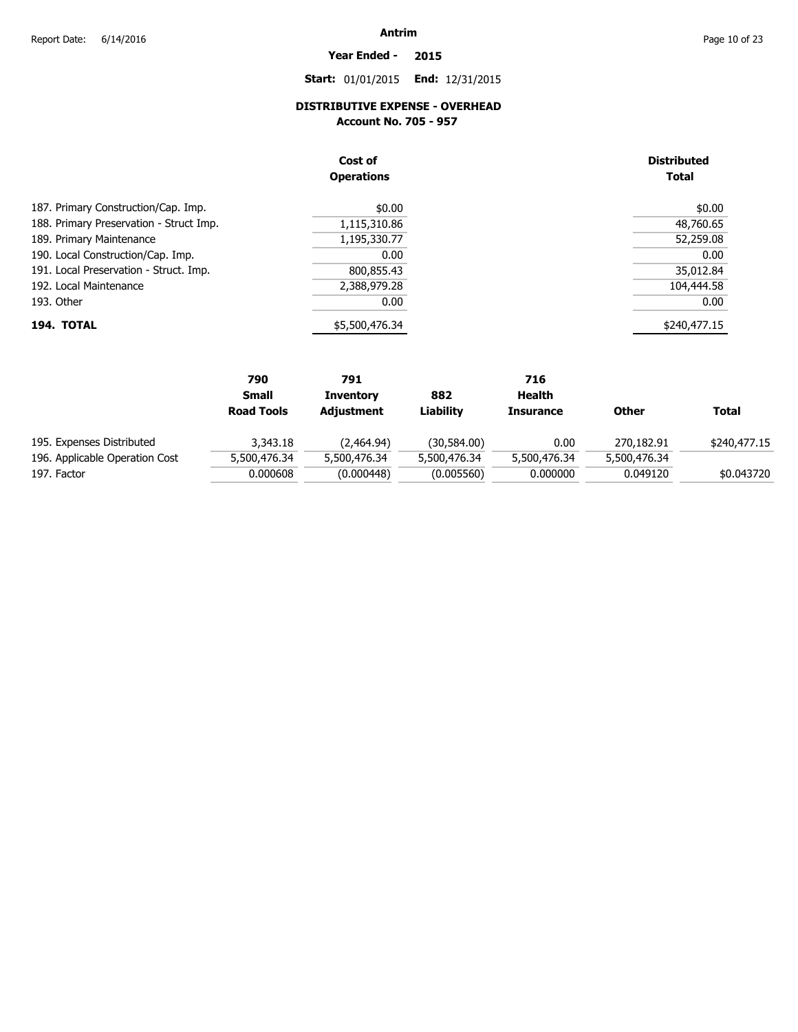## **Year Ended - 2015**

**Start:** 01/01/2015 **End:** 12/31/2015

## **DISTRIBUTIVE EXPENSE - OVERHEAD**

**Account No. 705 - 957** 

|                                         | Cost of<br><b>Operations</b> | <b>Distributed</b><br><b>Total</b> |
|-----------------------------------------|------------------------------|------------------------------------|
| 187. Primary Construction/Cap. Imp.     | \$0.00                       | \$0.00                             |
| 188. Primary Preservation - Struct Imp. | 1,115,310.86                 | 48,760.65                          |
| 189. Primary Maintenance                | 1,195,330.77                 | 52,259.08                          |
| 190. Local Construction/Cap. Imp.       | 0.00                         | 0.00                               |
| 191. Local Preservation - Struct. Imp.  | 800,855.43                   | 35,012.84                          |
| 192. Local Maintenance                  | 2,388,979.28                 | 104,444.58                         |
| 193. Other                              | 0.00                         | 0.00                               |
| 194. TOTAL                              | \$5,500,476.34               | \$240,477.15                       |

|                                | 790               | 791              |              | 716              |              |              |
|--------------------------------|-------------------|------------------|--------------|------------------|--------------|--------------|
|                                | <b>Small</b>      | <b>Inventory</b> | 882          | Health           |              |              |
|                                | <b>Road Tools</b> | Adjustment       | Liabilitv    | <b>Insurance</b> | <b>Other</b> | <b>Total</b> |
| 195. Expenses Distributed      | 3,343.18          | (2,464.94)       | (30,584.00)  | 0.00             | 270,182.91   | \$240,477.15 |
| 196. Applicable Operation Cost | 5,500,476.34      | 5,500,476.34     | 5,500,476.34 | 5,500,476.34     | 5,500,476.34 |              |
| 197. Factor                    | 0.000608          | (0.000448)       | (0.005560)   | 0.000000         | 0.049120     | \$0.043720   |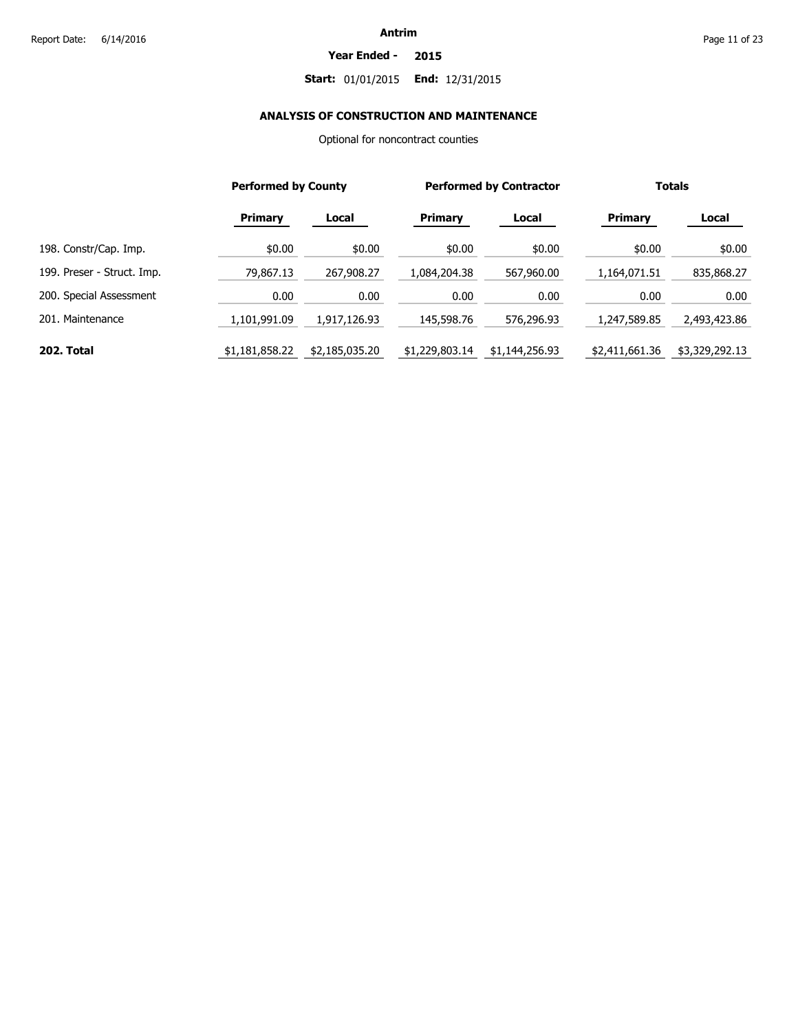#### **Year Ended - 2015**

## **Start:** 01/01/2015 **End:** 12/31/2015

## **ANALYSIS OF CONSTRUCTION AND MAINTENANCE**

Optional for noncontract counties

|                            | <b>Performed by County</b> |                |                | <b>Performed by Contractor</b> |                | <b>Totals</b>  |
|----------------------------|----------------------------|----------------|----------------|--------------------------------|----------------|----------------|
|                            | <b>Primary</b>             | Local          | <b>Primary</b> | Local                          | <b>Primary</b> | Local          |
| 198. Constr/Cap. Imp.      | \$0.00                     | \$0.00         | \$0.00         | \$0.00                         | \$0.00         | \$0.00         |
| 199. Preser - Struct. Imp. | 79,867.13                  | 267,908.27     | 1,084,204.38   | 567,960.00                     | 1,164,071.51   | 835,868.27     |
| 200. Special Assessment    | 0.00                       | 0.00           | 0.00           | 0.00                           | 0.00           | 0.00           |
| 201. Maintenance           | 1,101,991.09               | 1,917,126.93   | 145,598.76     | 576,296.93                     | 1,247,589.85   | 2,493,423.86   |
| 202. Total                 | \$1,181,858.22             | \$2,185,035.20 | \$1,229,803.14 | \$1,144,256.93                 | \$2,411,661.36 | \$3,329,292.13 |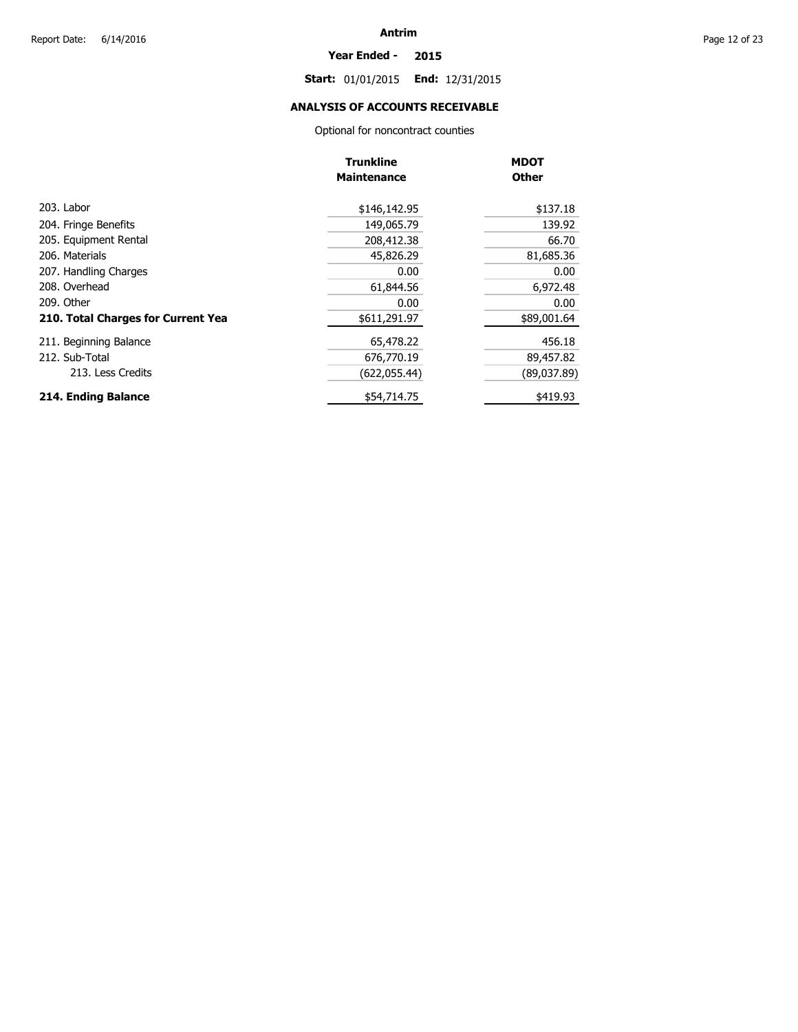#### **Year Ended - 2015**

**Start:** 01/01/2015 **End:** 12/31/2015

## **ANALYSIS OF ACCOUNTS RECEIVABLE**

Optional for noncontract counties

|                                    | <b>Trunkline</b>   | <b>MDOT</b>  |
|------------------------------------|--------------------|--------------|
|                                    | <b>Maintenance</b> | <b>Other</b> |
| 203. Labor                         | \$146,142.95       | \$137.18     |
| 204. Fringe Benefits               | 149,065.79         | 139.92       |
| 205. Equipment Rental              | 208,412.38         | 66.70        |
| 206. Materials                     | 45,826.29          | 81,685.36    |
| 207. Handling Charges              | 0.00               | 0.00         |
| 208. Overhead                      | 61,844.56          | 6,972.48     |
| 209. Other                         | 0.00               | 0.00         |
| 210. Total Charges for Current Yea | \$611,291.97       | \$89,001.64  |
| 211. Beginning Balance             | 65,478.22          | 456.18       |
| 212. Sub-Total                     | 676,770.19         | 89,457.82    |
| 213. Less Credits                  | (622,055.44)       | (89,037.89)  |
| 214. Ending Balance                | \$54,714.75        | \$419.93     |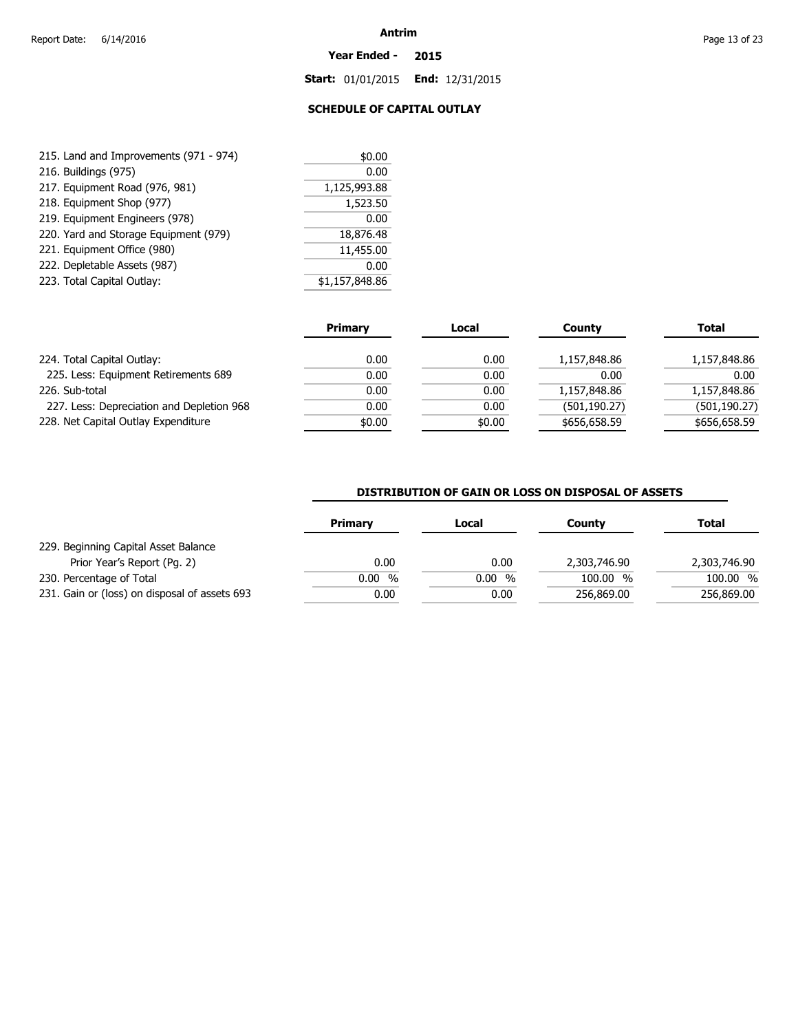#### **Year Ended - 2015**

**Start:** 01/01/2015 **End:** 12/31/2015

## **SCHEDULE OF CAPITAL OUTLAY**

| 215. Land and Improvements (971 - 974) | \$0.00         |
|----------------------------------------|----------------|
| 216. Buildings (975)                   | 0.00           |
| 217. Equipment Road (976, 981)         | 1,125,993.88   |
| 218. Equipment Shop (977)              | 1,523.50       |
| 219. Equipment Engineers (978)         | 0.00           |
| 220. Yard and Storage Equipment (979)  | 18,876.48      |
| 221. Equipment Office (980)            | 11,455.00      |
| 222. Depletable Assets (987)           | 0.00           |
| 223. Total Capital Outlay:             | \$1,157,848.86 |

|                                           | <b>Primary</b> | Local  | <b>County</b> | <b>Total</b>  |
|-------------------------------------------|----------------|--------|---------------|---------------|
| 224. Total Capital Outlay:                | 0.00           | 0.00   | 1,157,848.86  | 1,157,848.86  |
| 225. Less: Equipment Retirements 689      | 0.00           | 0.00   | 0.00          | 0.00          |
| 226. Sub-total                            | 0.00           | 0.00   | 1,157,848.86  | 1,157,848.86  |
| 227. Less: Depreciation and Depletion 968 | 0.00           | 0.00   | (501, 190.27) | (501, 190.27) |
| 228. Net Capital Outlay Expenditure       | \$0.00         | \$0.00 | \$656,658.59  | \$656,658.59  |

#### **DISTRIBUTION OF GAIN OR LOSS ON DISPOSAL OF ASSETS**

|                                               | <b>Primary</b> | Local | Countv       | Total        |
|-----------------------------------------------|----------------|-------|--------------|--------------|
| 229. Beginning Capital Asset Balance          |                |       |              |              |
| Prior Year's Report (Pg. 2)                   | 0.00           | 0.00  | 2,303,746.90 | 2,303,746.90 |
| 230. Percentage of Total                      | $0.00\%$       | 0.00% | 100.00 %     | 100.00 %     |
| 231. Gain or (loss) on disposal of assets 693 | 0.00           | 0.00  | 256,869.00   | 256,869.00   |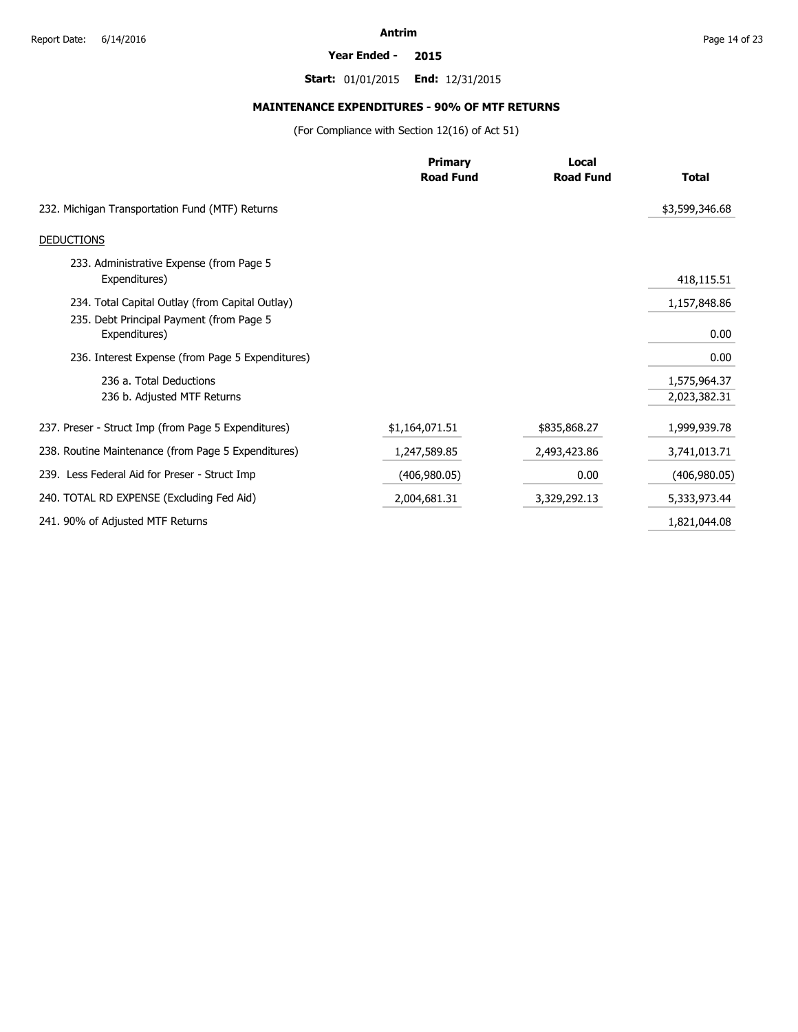#### **Year Ended - 2015**

**Start:** 01/01/2015 **End:** 12/31/2015

## **MAINTENANCE EXPENDITURES - 90% OF MTF RETURNS**

(For Compliance with Section 12(16) of Act 51)

|                                                           | <b>Primary</b>   | Local            |                |
|-----------------------------------------------------------|------------------|------------------|----------------|
|                                                           | <b>Road Fund</b> | <b>Road Fund</b> | <b>Total</b>   |
| 232. Michigan Transportation Fund (MTF) Returns           |                  |                  | \$3,599,346.68 |
| <b>DEDUCTIONS</b>                                         |                  |                  |                |
| 233. Administrative Expense (from Page 5<br>Expenditures) |                  |                  | 418,115.51     |
| 234. Total Capital Outlay (from Capital Outlay)           |                  |                  | 1,157,848.86   |
| 235. Debt Principal Payment (from Page 5<br>Expenditures) |                  |                  | 0.00           |
| 236. Interest Expense (from Page 5 Expenditures)          |                  |                  | 0.00           |
| 236 a. Total Deductions                                   |                  |                  | 1,575,964.37   |
| 236 b. Adjusted MTF Returns                               |                  |                  | 2,023,382.31   |
| 237. Preser - Struct Imp (from Page 5 Expenditures)       | \$1,164,071.51   | \$835,868.27     | 1,999,939.78   |
| 238. Routine Maintenance (from Page 5 Expenditures)       | 1,247,589.85     | 2,493,423.86     | 3,741,013.71   |
| 239. Less Federal Aid for Preser - Struct Imp             | (406,980.05)     | 0.00             | (406, 980.05)  |
| 240. TOTAL RD EXPENSE (Excluding Fed Aid)                 | 2,004,681.31     | 3,329,292.13     | 5,333,973.44   |
| 241. 90% of Adjusted MTF Returns                          |                  |                  | 1,821,044.08   |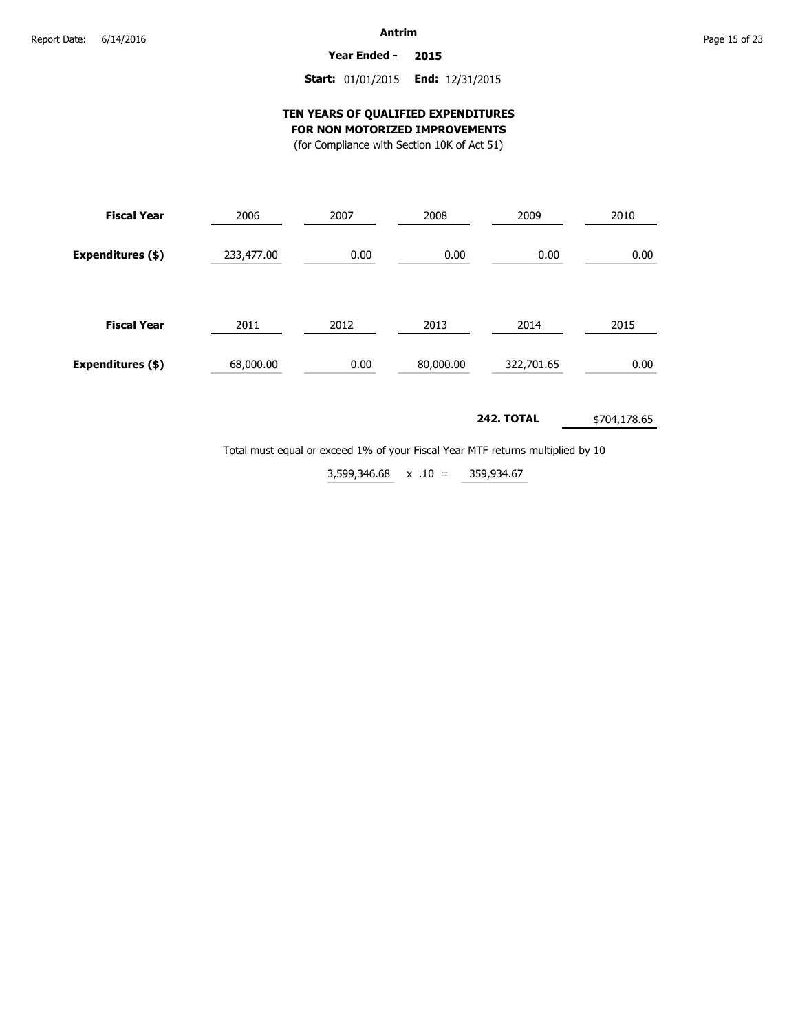**Year Ended - 2015**

## **Start:** 01/01/2015 **End:** 12/31/2015

#### **TEN YEARS OF QUALIFIED EXPENDITURES FOR NON MOTORIZED IMPROVEMENTS**

(for Compliance with Section 10K of Act 51)

| <b>Fiscal Year</b> | 2006       | 2007 | 2008      | 2009       | 2010 |  |
|--------------------|------------|------|-----------|------------|------|--|
| Expenditures (\$)  | 233,477.00 | 0.00 | 0.00      | 0.00       | 0.00 |  |
| <b>Fiscal Year</b> | 2011       | 2012 | 2013      | 2014       | 2015 |  |
| Expenditures (\$)  | 68,000.00  | 0.00 | 80,000.00 | 322,701.65 | 0.00 |  |

#### **242. TOTAL** \$704,178.65

Total must equal or exceed 1% of your Fiscal Year MTF returns multiplied by 10

359,934.67  $3,599,346.68 \times .10 =$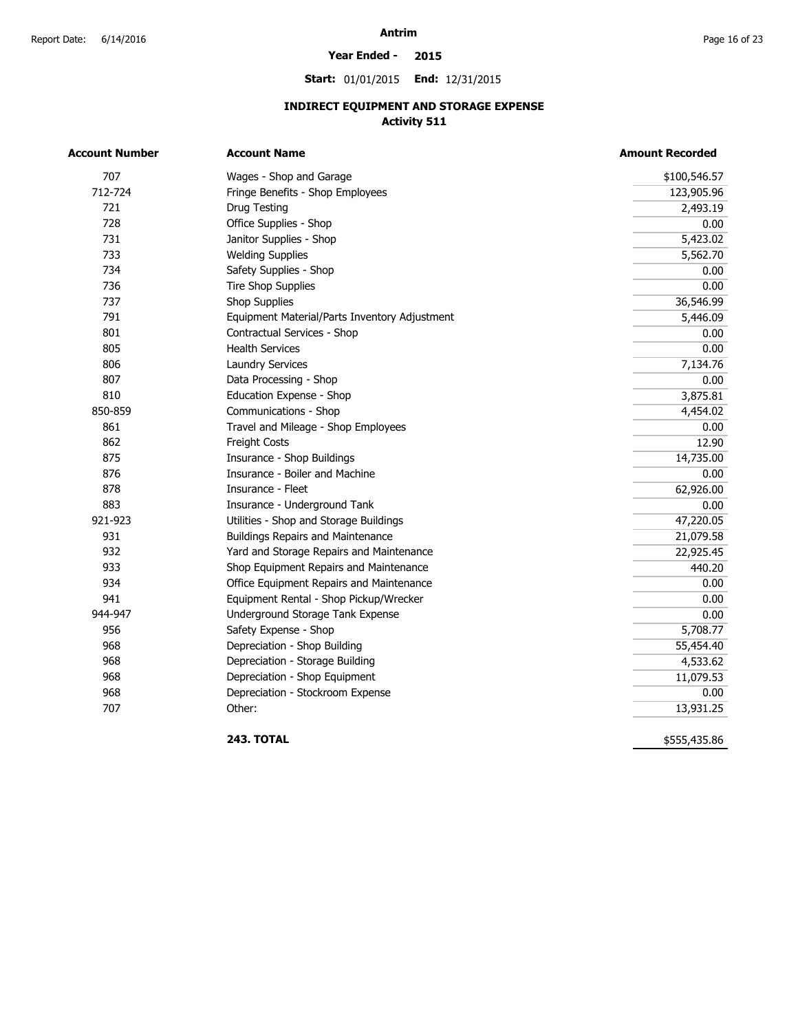#### **Year Ended - 2015**

**Start:** 01/01/2015 **End:** 12/31/2015

## **INDIRECT EQUIPMENT AND STORAGE EXPENSE Activity 511**

| <b>Account Number</b> | <b>Account Name</b>                           | <b>Amount Recorded</b> |  |  |
|-----------------------|-----------------------------------------------|------------------------|--|--|
| 707                   | Wages - Shop and Garage                       | \$100,546.57           |  |  |
| 712-724               | Fringe Benefits - Shop Employees              | 123,905.96             |  |  |
| 721                   | Drug Testing                                  | 2,493.19               |  |  |
| 728                   | Office Supplies - Shop                        | 0.00                   |  |  |
| 731                   | Janitor Supplies - Shop                       | 5,423.02               |  |  |
| 733                   | <b>Welding Supplies</b>                       | 5,562.70               |  |  |
| 734                   | Safety Supplies - Shop                        | 0.00                   |  |  |
| 736                   | <b>Tire Shop Supplies</b>                     | 0.00                   |  |  |
| 737                   | <b>Shop Supplies</b>                          | 36,546.99              |  |  |
| 791                   | Equipment Material/Parts Inventory Adjustment | 5,446.09               |  |  |
| 801                   | Contractual Services - Shop                   | 0.00                   |  |  |
| 805                   | <b>Health Services</b>                        | 0.00                   |  |  |
| 806                   | <b>Laundry Services</b>                       | 7,134.76               |  |  |
| 807                   | Data Processing - Shop                        | 0.00                   |  |  |
| 810                   | Education Expense - Shop                      | 3,875.81               |  |  |
| 850-859               | Communications - Shop                         | 4,454.02               |  |  |
| 861                   | Travel and Mileage - Shop Employees           | 0.00                   |  |  |
| 862                   | Freight Costs                                 | 12.90                  |  |  |
| 875                   | Insurance - Shop Buildings                    | 14,735.00              |  |  |
| 876                   | Insurance - Boiler and Machine                | 0.00                   |  |  |
| 878                   | Insurance - Fleet                             | 62,926.00              |  |  |
| 883                   | Insurance - Underground Tank                  | 0.00                   |  |  |
| 921-923               | Utilities - Shop and Storage Buildings        | 47,220.05              |  |  |
| 931                   | <b>Buildings Repairs and Maintenance</b>      | 21,079.58              |  |  |
| 932                   | Yard and Storage Repairs and Maintenance      | 22,925.45              |  |  |
| 933                   | Shop Equipment Repairs and Maintenance        | 440.20                 |  |  |
| 934                   | Office Equipment Repairs and Maintenance      | 0.00                   |  |  |
| 941                   | Equipment Rental - Shop Pickup/Wrecker        | 0.00                   |  |  |
| 944-947               | Underground Storage Tank Expense              | 0.00                   |  |  |
| 956                   | Safety Expense - Shop                         | 5,708.77               |  |  |
| 968                   | Depreciation - Shop Building                  | 55,454.40              |  |  |
| 968                   | Depreciation - Storage Building               | 4,533.62               |  |  |
| 968                   | Depreciation - Shop Equipment                 | 11,079.53              |  |  |
| 968                   | Depreciation - Stockroom Expense              | 0.00                   |  |  |
| 707                   | Other:                                        | 13,931.25              |  |  |

**243. TOTAL** 

\$555,435.86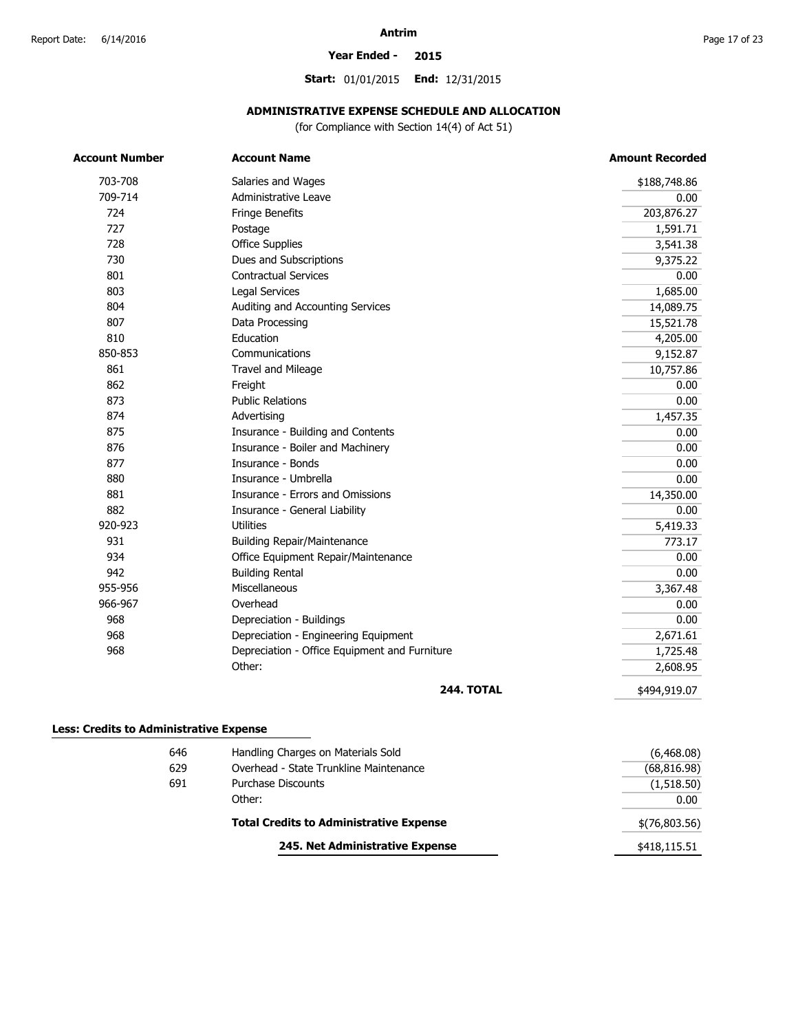#### **Year Ended - 2015**

**Start:** 01/01/2015 **End:** 12/31/2015

## **ADMINISTRATIVE EXPENSE SCHEDULE AND ALLOCATION**

(for Compliance with Section 14(4) of Act 51)

| <b>Account Number</b> | <b>Account Name</b>                           | <b>Amount Recorded</b> |
|-----------------------|-----------------------------------------------|------------------------|
| 703-708               | Salaries and Wages                            | \$188,748.86           |
| 709-714               | Administrative Leave                          | 0.00                   |
| 724                   | Fringe Benefits                               | 203,876.27             |
| 727                   | Postage                                       | 1,591.71               |
| 728                   | <b>Office Supplies</b>                        | 3,541.38               |
| 730                   | Dues and Subscriptions                        | 9,375.22               |
| 801                   | <b>Contractual Services</b>                   | 0.00                   |
| 803                   | <b>Legal Services</b>                         | 1,685.00               |
| 804                   | Auditing and Accounting Services              | 14,089.75              |
| 807                   | Data Processing                               | 15,521.78              |
| 810                   | Education                                     | 4,205.00               |
| 850-853               | Communications                                | 9,152.87               |
| 861                   | Travel and Mileage                            | 10,757.86              |
| 862                   | Freight                                       | 0.00                   |
| 873                   | <b>Public Relations</b>                       | 0.00                   |
| 874                   | Advertising                                   | 1,457.35               |
| 875                   | Insurance - Building and Contents             | 0.00                   |
| 876                   | Insurance - Boiler and Machinery              | 0.00                   |
| 877                   | Insurance - Bonds                             | 0.00                   |
| 880                   | Insurance - Umbrella                          | 0.00                   |
| 881                   | Insurance - Errors and Omissions              | 14,350.00              |
| 882                   | Insurance - General Liability                 | 0.00                   |
| 920-923               | <b>Utilities</b>                              | 5,419.33               |
| 931                   | <b>Building Repair/Maintenance</b>            | 773.17                 |
| 934                   | Office Equipment Repair/Maintenance           | 0.00                   |
| 942                   | <b>Building Rental</b>                        | 0.00                   |
| 955-956               | Miscellaneous                                 | 3,367.48               |
| 966-967               | Overhead                                      | 0.00                   |
| 968                   | Depreciation - Buildings                      | 0.00                   |
| 968                   | Depreciation - Engineering Equipment          | 2,671.61               |
| 968                   | Depreciation - Office Equipment and Furniture | 1,725.48               |
|                       | Other:                                        | 2,608.95               |
|                       | <b>244. TOTAL</b>                             | \$494,919.07           |

| 646 | Handling Charges on Materials Sold             | (6,468.08)    |
|-----|------------------------------------------------|---------------|
| 629 | Overhead - State Trunkline Maintenance         | (68, 816.98)  |
| 691 | Purchase Discounts                             | (1,518.50)    |
|     | Other:                                         | 0.00          |
|     | <b>Total Credits to Administrative Expense</b> | \$(76,803.56) |
|     | 245. Net Administrative Expense                | \$418,115.51  |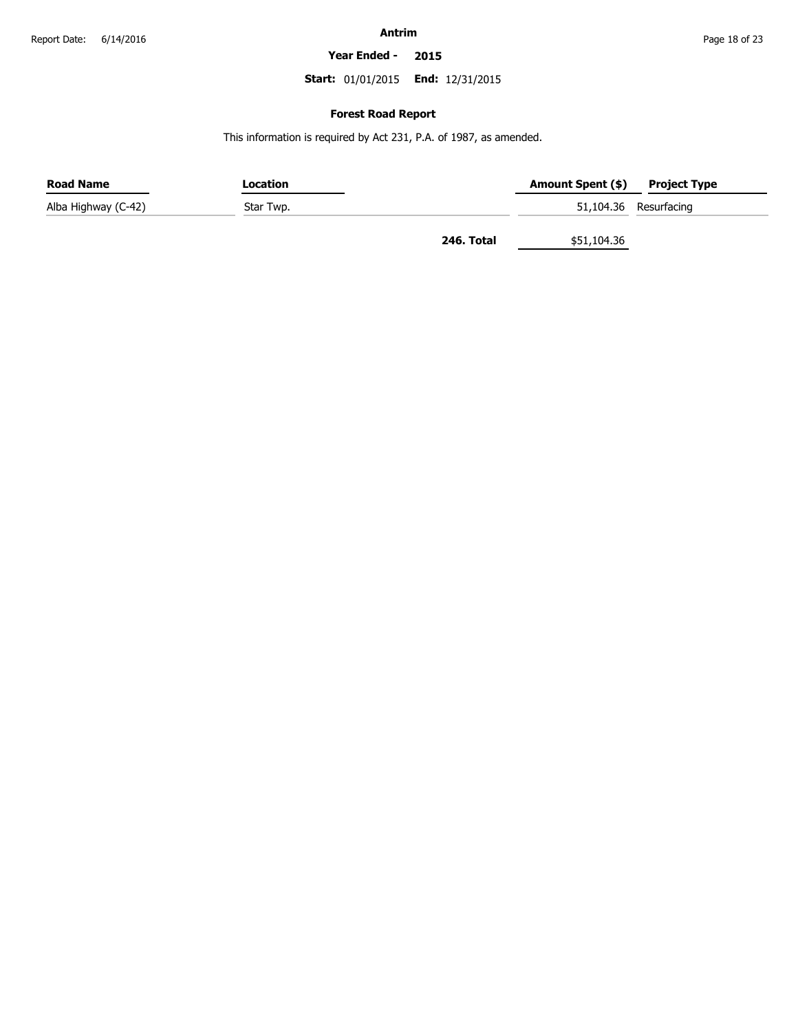**Year Ended - 2015**

**Start:** 01/01/2015 **End:** 12/31/2015

#### **Forest Road Report**

This information is required by Act 231, P.A. of 1987, as amended.

| <b>Road Name</b>    | Location  |            | Amount Spent (\$) | <b>Project Type</b>   |
|---------------------|-----------|------------|-------------------|-----------------------|
| Alba Highway (C-42) | Star Twp. |            |                   | 51,104.36 Resurfacing |
|                     |           | 246. Total | \$51,104.36       |                       |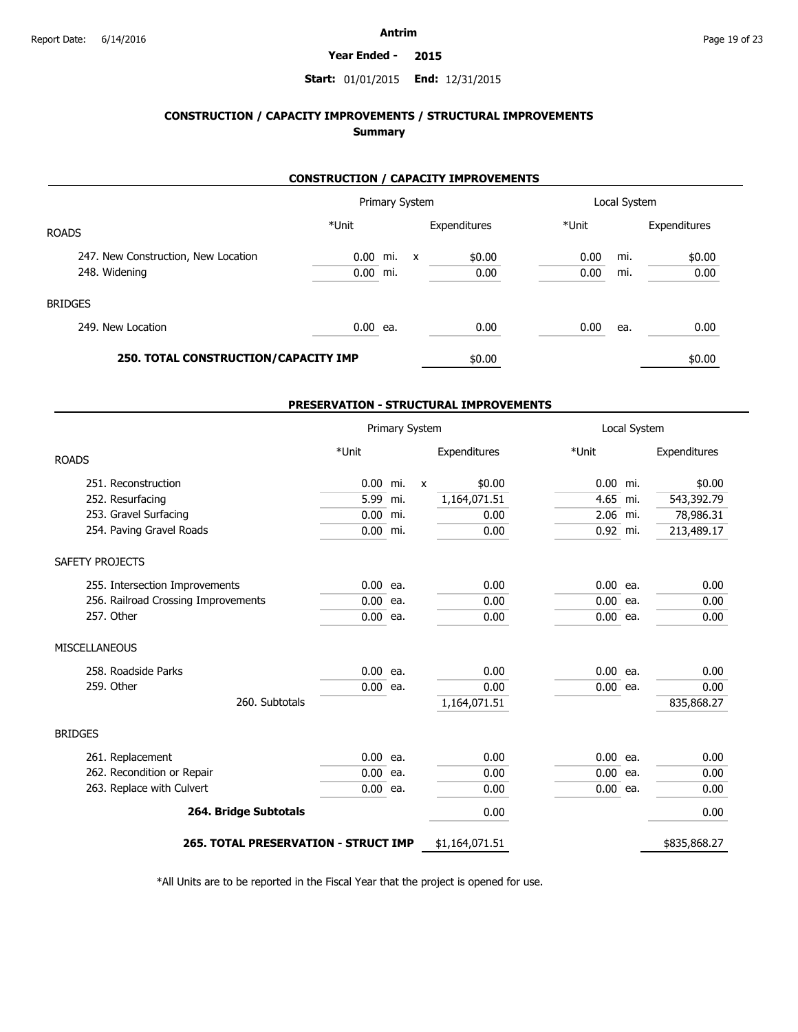#### **Year Ended - 2015**

#### **Start:** 01/01/2015 **End:** 12/31/2015

## **CONSTRUCTION / CAPACITY IMPROVEMENTS / STRUCTURAL IMPROVEMENTS Summary**

#### **CONSTRUCTION / CAPACITY IMPROVEMENTS**

|                                      |            | Primary System |              |              |       | Local System |              |
|--------------------------------------|------------|----------------|--------------|--------------|-------|--------------|--------------|
| <b>ROADS</b>                         | *Unit      |                |              | Expenditures | *Unit |              | Expenditures |
| 247. New Construction, New Location  | $0.00$ mi. |                | $\mathsf{x}$ | \$0.00       | 0.00  | mi.          | \$0.00       |
| 248. Widening                        | $0.00$ mi. |                |              | 0.00         | 0.00  | mi.          | 0.00         |
| <b>BRIDGES</b>                       |            |                |              |              |       |              |              |
| 249. New Location                    | $0.00$ ea. |                |              | 0.00         | 0.00  | ea.          | 0.00         |
| 250. TOTAL CONSTRUCTION/CAPACITY IMP |            |                |              | \$0.00       |       |              | \$0.00       |

#### **PRESERVATION - STRUCTURAL IMPROVEMENTS**

|                                      |            | Primary System |              |                |            | Local System |              |
|--------------------------------------|------------|----------------|--------------|----------------|------------|--------------|--------------|
| <b>ROADS</b>                         | *Unit      |                |              | Expenditures   | *Unit      |              | Expenditures |
| 251. Reconstruction                  | $0.00$ mi. |                | $\mathsf{x}$ | \$0.00         | $0.00$ mi. |              | \$0.00       |
| 252. Resurfacing                     | 5.99 mi.   |                |              | 1,164,071.51   | 4.65 mi.   |              | 543,392.79   |
| 253. Gravel Surfacing                | $0.00$ mi. |                |              | 0.00           | $2.06$ mi. |              | 78,986.31    |
| 254. Paving Gravel Roads             | $0.00$ mi. |                |              | 0.00           | $0.92$ mi. |              | 213,489.17   |
| SAFETY PROJECTS                      |            |                |              |                |            |              |              |
| 255. Intersection Improvements       | $0.00$ ea. |                |              | 0.00           | $0.00$ ea. |              | 0.00         |
| 256. Railroad Crossing Improvements  | $0.00$ ea. |                |              | 0.00           | $0.00$ ea. |              | 0.00         |
| 257. Other                           | $0.00$ ea. |                |              | 0.00           | $0.00$ ea. |              | 0.00         |
| <b>MISCELLANEOUS</b>                 |            |                |              |                |            |              |              |
| 258. Roadside Parks                  | $0.00$ ea. |                |              | 0.00           | $0.00$ ea. |              | 0.00         |
| 259. Other                           | $0.00$ ea. |                |              | 0.00           | $0.00$ ea. |              | 0.00         |
| 260. Subtotals                       |            |                |              | 1,164,071.51   |            |              | 835,868.27   |
| <b>BRIDGES</b>                       |            |                |              |                |            |              |              |
| 261. Replacement                     | $0.00$ ea. |                |              | 0.00           | $0.00$ ea. |              | 0.00         |
| 262. Recondition or Repair           | $0.00$ ea. |                |              | 0.00           | $0.00$ ea. |              | 0.00         |
| 263. Replace with Culvert            | $0.00$ ea. |                |              | 0.00           | $0.00$ ea. |              | 0.00         |
| 264. Bridge Subtotals                |            |                |              | 0.00           |            |              | 0.00         |
| 265. TOTAL PRESERVATION - STRUCT IMP |            |                |              | \$1,164,071.51 |            |              | \$835,868.27 |

\*All Units are to be reported in the Fiscal Year that the project is opened for use.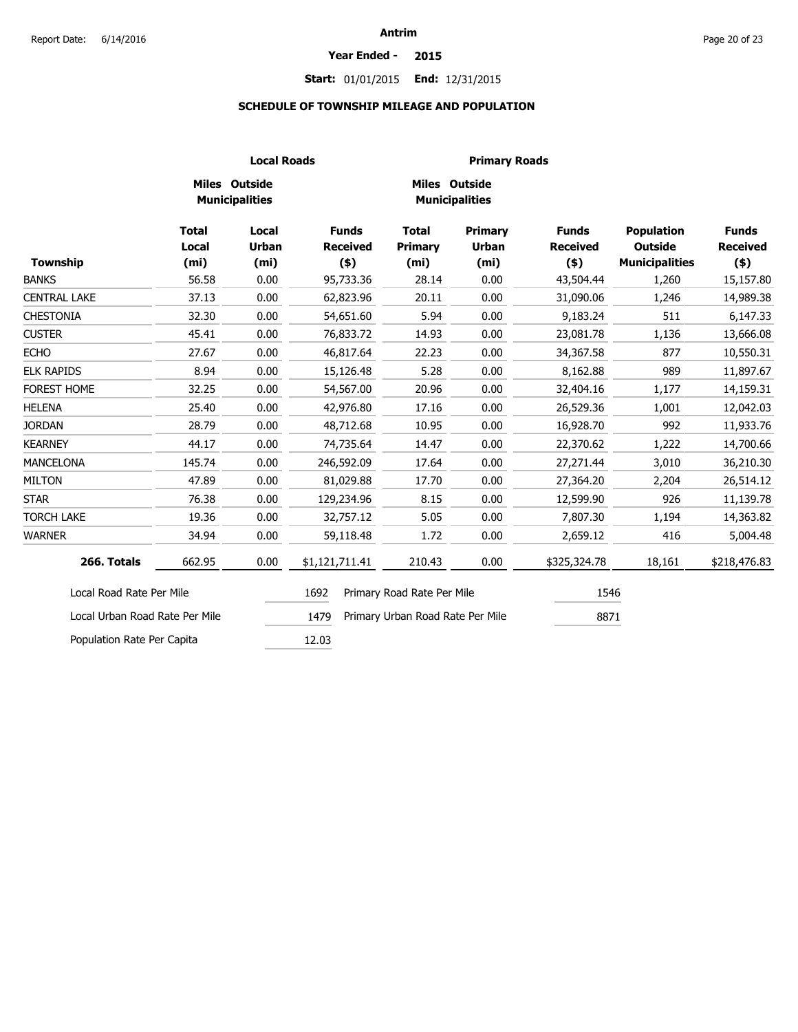#### **Year Ended - 2015**

## **Start:** 01/01/2015 **End:** 12/31/2015

#### **SCHEDULE OF TOWNSHIP MILEAGE AND POPULATION**

|                                |                              | <b>Local Roads</b>                     |                                 | <b>Primary Roads</b>                   |                                                     |                                 |                                                              |                                 |
|--------------------------------|------------------------------|----------------------------------------|---------------------------------|----------------------------------------|-----------------------------------------------------|---------------------------------|--------------------------------------------------------------|---------------------------------|
|                                |                              | Miles Outside<br><b>Municipalities</b> |                                 | Miles Outside<br><b>Municipalities</b> |                                                     |                                 |                                                              |                                 |
| <b>Township</b>                | <b>Total</b><br><b>Local</b> | Local<br><b>Urban</b>                  | <b>Funds</b><br><b>Received</b> | <b>Total</b><br><b>Primary</b>         | <b>Primary</b><br><b>Urban</b><br>(m <sub>i</sub> ) | <b>Funds</b><br><b>Received</b> | <b>Population</b><br><b>Outside</b><br><b>Municipalities</b> | <b>Funds</b><br><b>Received</b> |
| <b>BANKS</b>                   | (m <sub>i</sub> )<br>56.58   | (m <sub>i</sub> )<br>0.00              | $($ \$)<br>95,733.36            | (m <sub>i</sub> )<br>28.14             | 0.00                                                | $($ \$)<br>43,504.44            | 1,260                                                        | $(*)$<br>15,157.80              |
| <b>CENTRAL LAKE</b>            | 37.13                        | 0.00                                   | 62,823.96                       | 20.11                                  | 0.00                                                | 31,090.06                       | 1,246                                                        | 14,989.38                       |
| <b>CHESTONIA</b>               | 32.30                        | 0.00                                   | 54,651.60                       | 5.94                                   | 0.00                                                | 9,183.24                        | 511                                                          | 6,147.33                        |
| <b>CUSTER</b>                  | 45.41                        | 0.00                                   | 76,833.72                       | 14.93                                  | 0.00                                                | 23,081.78                       | 1,136                                                        | 13,666.08                       |
| <b>ECHO</b>                    | 27.67                        | 0.00                                   | 46,817.64                       | 22.23                                  | 0.00                                                | 34,367.58                       | 877                                                          | 10,550.31                       |
| <b>ELK RAPIDS</b>              | 8.94                         | 0.00                                   | 15,126.48                       | 5.28                                   | 0.00                                                | 8,162.88                        | 989                                                          | 11,897.67                       |
| <b>FOREST HOME</b>             | 32.25                        | 0.00                                   | 54,567.00                       | 20.96                                  | 0.00                                                | 32,404.16                       | 1,177                                                        | 14,159.31                       |
| <b>HELENA</b>                  | 25.40                        | 0.00                                   | 42,976.80                       | 17.16                                  | 0.00                                                | 26,529.36                       | 1,001                                                        | 12,042.03                       |
| <b>JORDAN</b>                  | 28.79                        | 0.00                                   | 48,712.68                       | 10.95                                  | 0.00                                                | 16,928.70                       | 992                                                          | 11,933.76                       |
| <b>KEARNEY</b>                 | 44.17                        | 0.00                                   | 74,735.64                       | 14.47                                  | 0.00                                                | 22,370.62                       | 1,222                                                        | 14,700.66                       |
| <b>MANCELONA</b>               | 145.74                       | 0.00                                   | 246,592.09                      | 17.64                                  | 0.00                                                | 27,271.44                       | 3,010                                                        | 36,210.30                       |
| <b>MILTON</b>                  | 47.89                        | 0.00                                   | 81,029.88                       | 17.70                                  | 0.00                                                | 27,364.20                       | 2,204                                                        | 26,514.12                       |
| <b>STAR</b>                    | 76.38                        | 0.00                                   | 129,234.96                      | 8.15                                   | 0.00                                                | 12,599.90                       | 926                                                          | 11,139.78                       |
| <b>TORCH LAKE</b>              | 19.36                        | 0.00                                   | 32,757.12                       | 5.05                                   | 0.00                                                | 7,807.30                        | 1,194                                                        | 14,363.82                       |
| <b>WARNER</b>                  | 34.94                        | 0.00                                   | 59,118.48                       | 1.72                                   | 0.00                                                | 2,659.12                        | 416                                                          | 5,004.48                        |
| 266. Totals                    | 662.95                       | 0.00                                   | \$1,121,711.41                  | 210.43                                 | 0.00                                                | \$325,324.78                    | 18,161                                                       | \$218,476.83                    |
| Local Road Rate Per Mile       |                              |                                        | 1692                            | Primary Road Rate Per Mile             |                                                     | 1546                            |                                                              |                                 |
| Local Urban Road Rate Per Mile |                              |                                        | 1479                            | Primary Urban Road Rate Per Mile       |                                                     | 8871                            |                                                              |                                 |
| Population Rate Per Capita     |                              |                                        | 12.03                           |                                        |                                                     |                                 |                                                              |                                 |

Population Rate Per Capita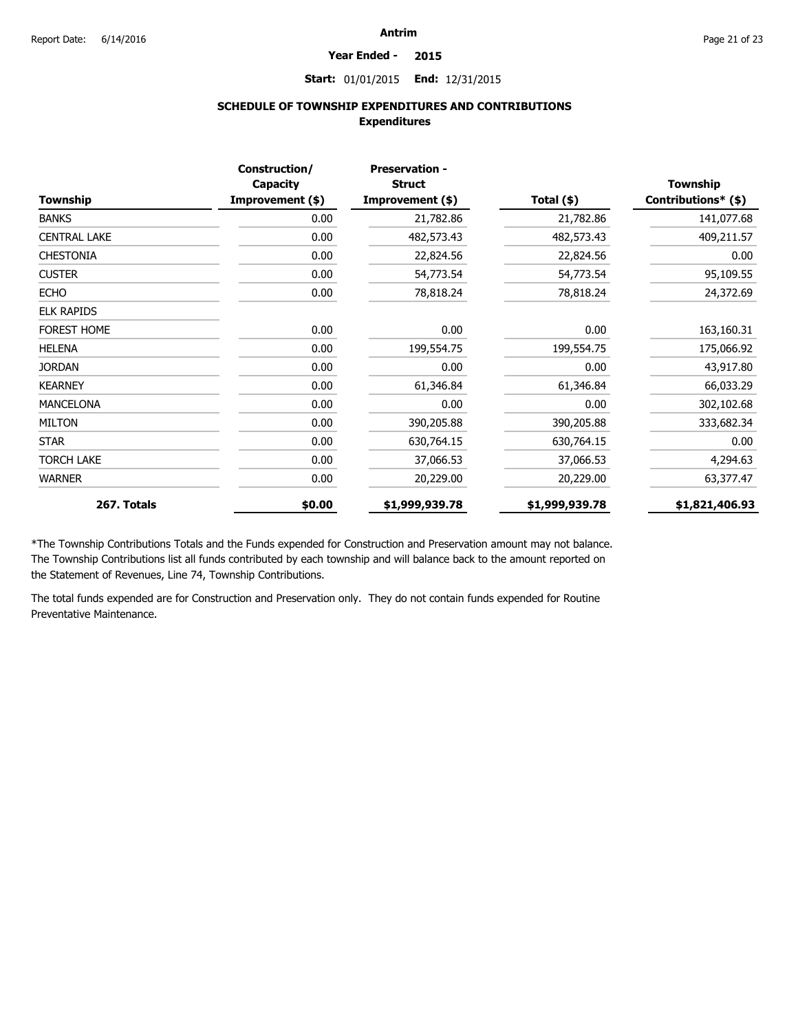#### **Year Ended - 2015**

**Start:** 01/01/2015 **End:** 12/31/2015

## **SCHEDULE OF TOWNSHIP EXPENDITURES AND CONTRIBUTIONS Expenditures**

| Township            | Construction/<br>Capacity<br>Improvement (\$) | <b>Preservation -</b><br><b>Struct</b><br>Improvement (\$) | Total $(*)$    | <b>Township</b><br>Contributions* (\$) |
|---------------------|-----------------------------------------------|------------------------------------------------------------|----------------|----------------------------------------|
| <b>BANKS</b>        | 0.00                                          | 21,782.86                                                  | 21,782.86      | 141,077.68                             |
| <b>CENTRAL LAKE</b> | 0.00                                          | 482,573.43                                                 | 482,573.43     | 409,211.57                             |
| <b>CHESTONIA</b>    | 0.00                                          | 22,824.56                                                  | 22,824.56      | 0.00                                   |
| <b>CUSTER</b>       | 0.00                                          | 54,773.54                                                  | 54,773.54      | 95,109.55                              |
| <b>ECHO</b>         | 0.00                                          | 78,818.24                                                  | 78,818.24      | 24,372.69                              |
| <b>ELK RAPIDS</b>   |                                               |                                                            |                |                                        |
| <b>FOREST HOME</b>  | 0.00                                          | 0.00                                                       | 0.00           | 163,160.31                             |
| <b>HELENA</b>       | 0.00                                          | 199,554.75                                                 | 199,554.75     | 175,066.92                             |
| <b>JORDAN</b>       | 0.00                                          | 0.00                                                       | 0.00           | 43,917.80                              |
| <b>KEARNEY</b>      | 0.00                                          | 61,346.84                                                  | 61,346.84      | 66,033.29                              |
| <b>MANCELONA</b>    | 0.00                                          | 0.00                                                       | 0.00           | 302,102.68                             |
| <b>MILTON</b>       | 0.00                                          | 390,205.88                                                 | 390,205.88     | 333,682.34                             |
| <b>STAR</b>         | 0.00                                          | 630,764.15                                                 | 630,764.15     | 0.00                                   |
| <b>TORCH LAKE</b>   | 0.00                                          | 37,066.53                                                  | 37,066.53      | 4,294.63                               |
| <b>WARNER</b>       | 0.00                                          | 20,229.00                                                  | 20,229.00      | 63,377.47                              |
| 267. Totals         | \$0.00                                        | \$1,999,939.78                                             | \$1,999,939.78 | \$1,821,406.93                         |

\*The Township Contributions Totals and the Funds expended for Construction and Preservation amount may not balance. The Township Contributions list all funds contributed by each township and will balance back to the amount reported on the Statement of Revenues, Line 74, Township Contributions.

The total funds expended are for Construction and Preservation only. They do not contain funds expended for Routine Preventative Maintenance.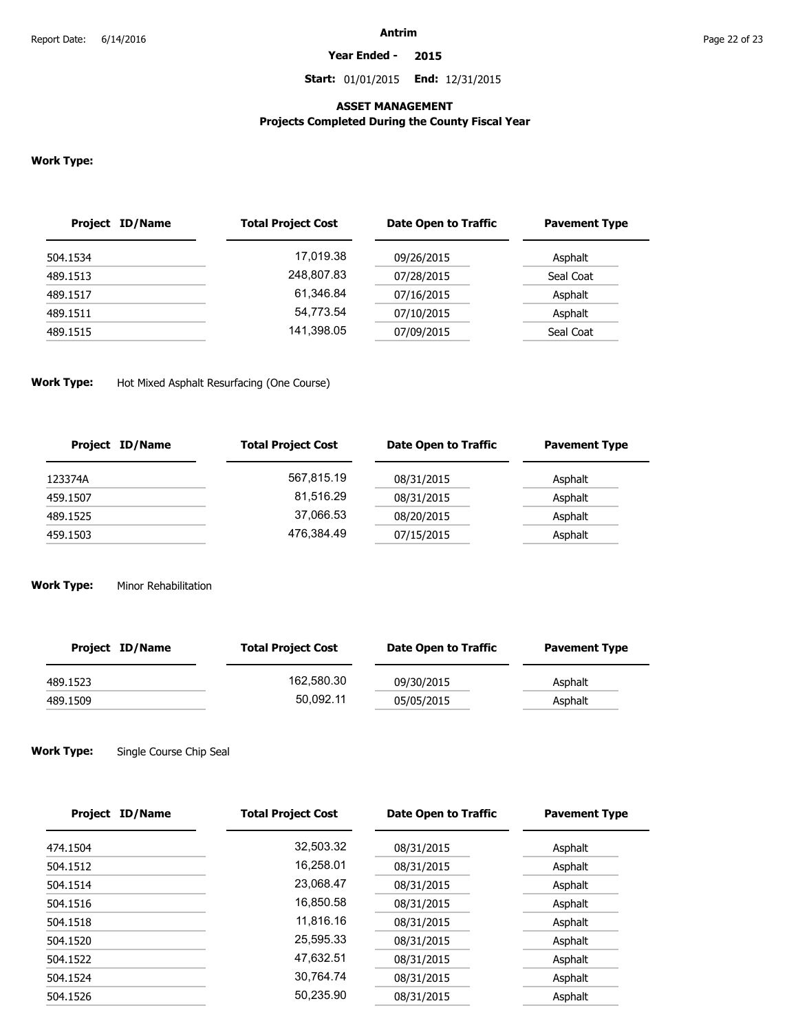**Year Ended - 2015**

**Start:** 01/01/2015 **End:** 12/31/2015

#### **ASSET MANAGEMENT**

## **Projects Completed During the County Fiscal Year**

#### **Work Type:**

| <b>Project ID/Name</b> | <b>Total Project Cost</b> | Date Open to Traffic | <b>Pavement Type</b> |
|------------------------|---------------------------|----------------------|----------------------|
| 504.1534               | 17.019.38                 | 09/26/2015           | Asphalt              |
| 489.1513               | 248,807.83                | 07/28/2015           | Seal Coat            |
| 489.1517               | 61.346.84                 | 07/16/2015           | Asphalt              |
| 489.1511               | 54.773.54                 | 07/10/2015           | Asphalt              |
| 489.1515               | 141,398.05                | 07/09/2015           | Seal Coat            |
|                        |                           |                      |                      |

#### **Work Type:** Hot Mixed Asphalt Resurfacing (One Course)

| Project ID/Name | <b>Total Project Cost</b> | Date Open to Traffic | <b>Pavement Type</b> |
|-----------------|---------------------------|----------------------|----------------------|
| 123374A         | 567,815.19                | 08/31/2015           | Asphalt              |
| 459.1507        | 81,516.29                 | 08/31/2015           | Asphalt              |
| 489.1525        | 37,066.53                 | 08/20/2015           | Asphalt              |
| 459.1503        | 476,384.49                | 07/15/2015           | Asphalt              |

#### **Work Type:** Minor Rehabilitation

| Project ID/Name | <b>Total Project Cost</b> | Date Open to Traffic | <b>Pavement Type</b> |
|-----------------|---------------------------|----------------------|----------------------|
| 489.1523        | 162.580.30                | 09/30/2015           | Asphalt              |
| 489.1509        | 50.092.11                 | 05/05/2015           | Asphalt              |

#### **Work Type:** Single Course Chip Seal

| Project ID/Name | <b>Total Project Cost</b> | <b>Date Open to Traffic</b> | <b>Pavement Type</b> |
|-----------------|---------------------------|-----------------------------|----------------------|
| 474.1504        | 32,503.32                 | 08/31/2015                  | Asphalt              |
| 504.1512        | 16,258.01                 | 08/31/2015                  | Asphalt              |
| 504.1514        | 23,068.47                 | 08/31/2015                  | Asphalt              |
| 504.1516        | 16.850.58                 | 08/31/2015                  | Asphalt              |
| 504.1518        | 11,816.16                 | 08/31/2015                  | Asphalt              |
| 504.1520        | 25.595.33                 | 08/31/2015                  | Asphalt              |
| 504.1522        | 47,632.51                 | 08/31/2015                  | Asphalt              |
| 504.1524        | 30.764.74                 | 08/31/2015                  | Asphalt              |
| 504.1526        | 50.235.90                 | 08/31/2015                  | Asphalt              |